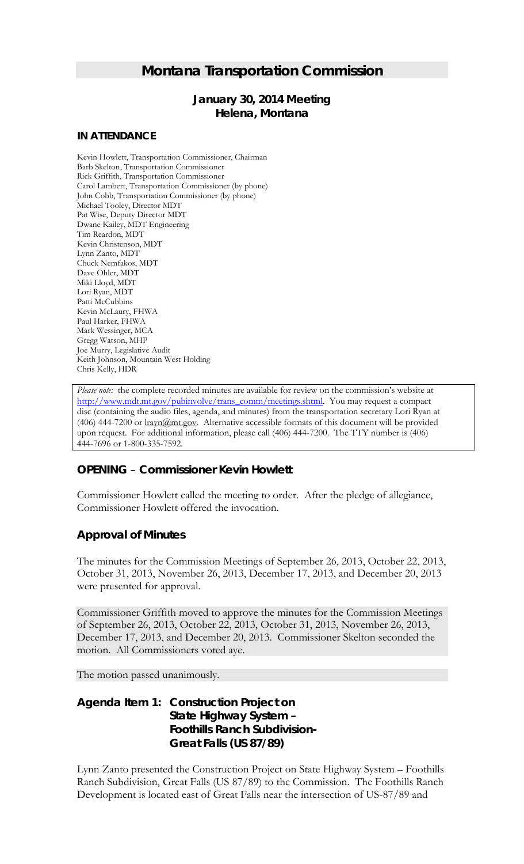# *Montana Transportation Commission*

## *January 30, 2014 Meeting* **Helena, Montana**

#### **IN ATTENDANCE**

Kevin Howlett, Transportation Commissioner, Chairman Barb Skelton, Transportation Commissioner Rick Griffith, Transportation Commissioner Carol Lambert, Transportation Commissioner (by phone) John Cobb, Transportation Commissioner (by phone) Michael Tooley, Director MDT Pat Wise, Deputy Director MDT Dwane Kailey, MDT Engineering Tim Reardon, MDT Kevin Christenson, MDT Lynn Zanto, MDT Chuck Nemfakos, MDT Dave Ohler, MDT Miki Lloyd, MDT Lori Ryan, MDT Patti McCubbins Kevin McLaury, FHWA Paul Harker, FHWA Mark Wessinger, MCA Gregg Watson, MHP Joe Murry, Legislative Audit Keith Johnson, Mountain West Holding Chris Kelly, HDR

*Please note:* the complete recorded minutes are available for review on the commission's website at [http://www.mdt.mt.gov/pubinvolve/trans\\_comm/meetings.shtml.](http://www.mdt.mt.gov/pubinvolve/trans_comm/meetings.shtml) You may request a compact disc (containing the audio files, agenda, and minutes) from the transportation secretary Lori Ryan at (406) 444-7200 or lrayn@mt.gov. Alternative accessible formats of this document will be provided upon request. For additional information, please call (406) 444-7200. The TTY number is (406) 444-7696 or 1-800-335-7592.

## *OPENING – Commissioner Kevin Howlett*

Commissioner Howlett called the meeting to order. After the pledge of allegiance, Commissioner Howlett offered the invocation.

#### *Approval of Minutes*

The minutes for the Commission Meetings of September 26, 2013, October 22, 2013, October 31, 2013, November 26, 2013, December 17, 2013, and December 20, 2013 were presented for approval.

Commissioner Griffith moved to approve the minutes for the Commission Meetings of September 26, 2013, October 22, 2013, October 31, 2013, November 26, 2013, December 17, 2013, and December 20, 2013. Commissioner Skelton seconded the motion. All Commissioners voted aye.

The motion passed unanimously.

## *Agenda Item 1: Construction Project on State Highway System – Foothills Ranch Subdivision-Great Falls (US 87/89)*

Lynn Zanto presented the Construction Project on State Highway System – Foothills Ranch Subdivision, Great Falls (US 87/89) to the Commission. The Foothills Ranch Development is located east of Great Falls near the intersection of US-87/89 and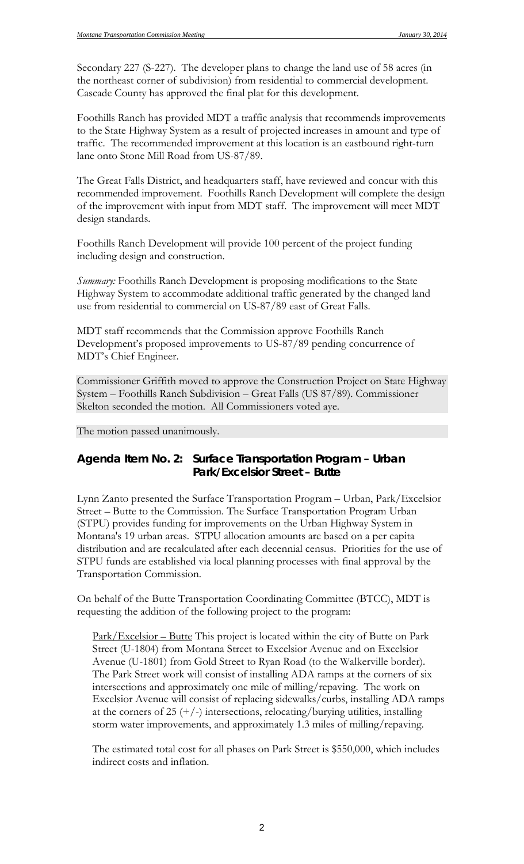Secondary 227 (S-227). The developer plans to change the land use of 58 acres (in the northeast corner of subdivision) from residential to commercial development. Cascade County has approved the final plat for this development.

Foothills Ranch has provided MDT a traffic analysis that recommends improvements to the State Highway System as a result of projected increases in amount and type of traffic. The recommended improvement at this location is an eastbound right-turn lane onto Stone Mill Road from US-87/89.

The Great Falls District, and headquarters staff, have reviewed and concur with this recommended improvement. Foothills Ranch Development will complete the design of the improvement with input from MDT staff. The improvement will meet MDT design standards.

Foothills Ranch Development will provide 100 percent of the project funding including design and construction.

*Summary:* Foothills Ranch Development is proposing modifications to the State Highway System to accommodate additional traffic generated by the changed land use from residential to commercial on US-87/89 east of Great Falls.

MDT staff recommends that the Commission approve Foothills Ranch Development's proposed improvements to US-87/89 pending concurrence of MDT's Chief Engineer.

Commissioner Griffith moved to approve the Construction Project on State Highway System – Foothills Ranch Subdivision – Great Falls (US 87/89). Commissioner Skelton seconded the motion. All Commissioners voted aye.

The motion passed unanimously.

#### *Agenda Item No. 2: Surface Transportation Program – Urban Park/Excelsior Street – Butte*

Lynn Zanto presented the Surface Transportation Program – Urban, Park/Excelsior Street – Butte to the Commission. The Surface Transportation Program Urban (STPU) provides funding for improvements on the Urban Highway System in Montana's 19 urban areas. STPU allocation amounts are based on a per capita distribution and are recalculated after each decennial census. Priorities for the use of STPU funds are established via local planning processes with final approval by the Transportation Commission.

On behalf of the Butte Transportation Coordinating Committee (BTCC), MDT is requesting the addition of the following project to the program:

Park/Excelsior – Butte This project is located within the city of Butte on Park Street (U-1804) from Montana Street to Excelsior Avenue and on Excelsior Avenue (U-1801) from Gold Street to Ryan Road (to the Walkerville border). The Park Street work will consist of installing ADA ramps at the corners of six intersections and approximately one mile of milling/repaving. The work on Excelsior Avenue will consist of replacing sidewalks/curbs, installing ADA ramps at the corners of 25  $(+/-)$  intersections, relocating/burying utilities, installing storm water improvements, and approximately 1.3 miles of milling/repaving.

The estimated total cost for all phases on Park Street is \$550,000, which includes indirect costs and inflation.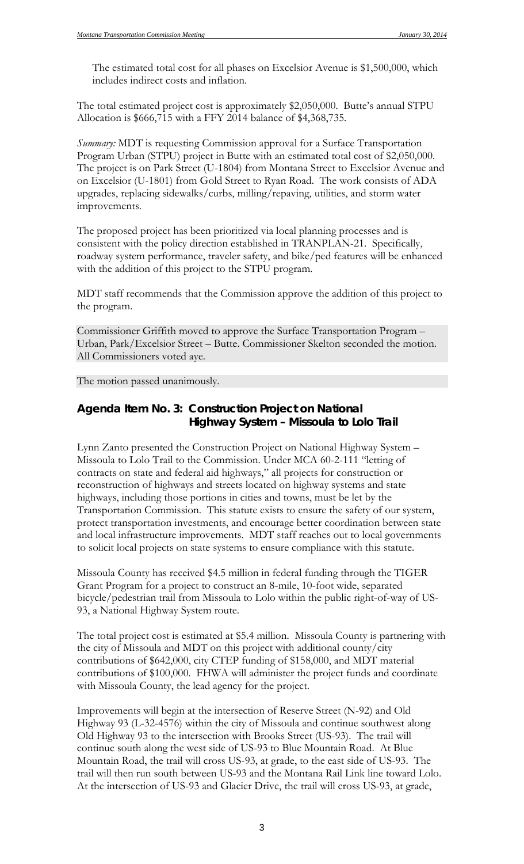The estimated total cost for all phases on Excelsior Avenue is \$1,500,000, which includes indirect costs and inflation.

The total estimated project cost is approximately \$2,050,000. Butte's annual STPU Allocation is \$666,715 with a FFY 2014 balance of \$4,368,735.

*Summary:* MDT is requesting Commission approval for a Surface Transportation Program Urban (STPU) project in Butte with an estimated total cost of \$2,050,000. The project is on Park Street (U-1804) from Montana Street to Excelsior Avenue and on Excelsior (U-1801) from Gold Street to Ryan Road. The work consists of ADA upgrades, replacing sidewalks/curbs, milling/repaving, utilities, and storm water improvements.

The proposed project has been prioritized via local planning processes and is consistent with the policy direction established in TRANPLAN-21. Specifically, roadway system performance, traveler safety, and bike/ped features will be enhanced with the addition of this project to the STPU program.

MDT staff recommends that the Commission approve the addition of this project to the program.

Commissioner Griffith moved to approve the Surface Transportation Program – Urban, Park/Excelsior Street – Butte. Commissioner Skelton seconded the motion. All Commissioners voted aye.

The motion passed unanimously.

## *Agenda Item No. 3: Construction Project on National Highway System – Missoula to Lolo Trail*

Lynn Zanto presented the Construction Project on National Highway System – Missoula to Lolo Trail to the Commission. Under MCA 60-2-111 "letting of contracts on state and federal aid highways," all projects for construction or reconstruction of highways and streets located on highway systems and state highways, including those portions in cities and towns, must be let by the Transportation Commission. This statute exists to ensure the safety of our system, protect transportation investments, and encourage better coordination between state and local infrastructure improvements. MDT staff reaches out to local governments to solicit local projects on state systems to ensure compliance with this statute.

Missoula County has received \$4.5 million in federal funding through the TIGER Grant Program for a project to construct an 8-mile, 10-foot wide, separated bicycle/pedestrian trail from Missoula to Lolo within the public right-of-way of US-93, a National Highway System route.

The total project cost is estimated at \$5.4 million. Missoula County is partnering with the city of Missoula and MDT on this project with additional county/city contributions of \$642,000, city CTEP funding of \$158,000, and MDT material contributions of \$100,000. FHWA will administer the project funds and coordinate with Missoula County, the lead agency for the project.

Improvements will begin at the intersection of Reserve Street (N-92) and Old Highway 93 (L-32-4576) within the city of Missoula and continue southwest along Old Highway 93 to the intersection with Brooks Street (US-93). The trail will continue south along the west side of US-93 to Blue Mountain Road. At Blue Mountain Road, the trail will cross US-93, at grade, to the east side of US-93. The trail will then run south between US-93 and the Montana Rail Link line toward Lolo. At the intersection of US-93 and Glacier Drive, the trail will cross US-93, at grade,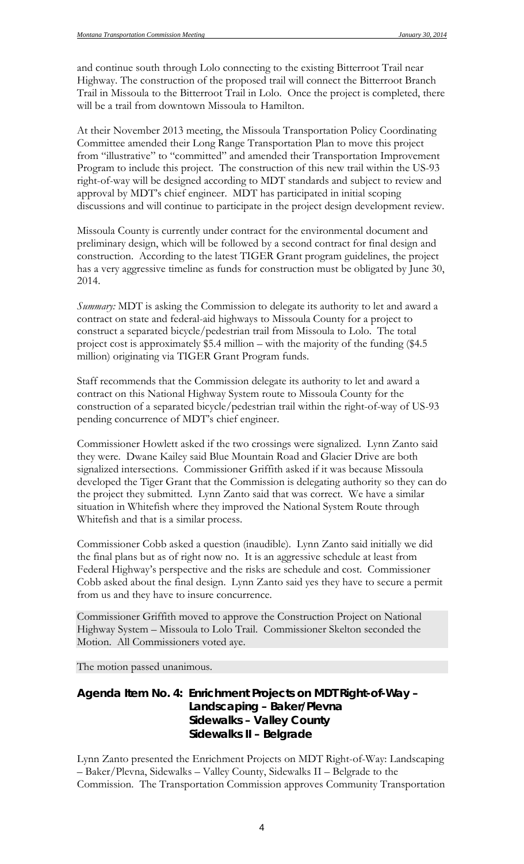and continue south through Lolo connecting to the existing Bitterroot Trail near Highway. The construction of the proposed trail will connect the Bitterroot Branch Trail in Missoula to the Bitterroot Trail in Lolo. Once the project is completed, there will be a trail from downtown Missoula to Hamilton.

At their November 2013 meeting, the Missoula Transportation Policy Coordinating Committee amended their Long Range Transportation Plan to move this project from "illustrative" to "committed" and amended their Transportation Improvement Program to include this project. The construction of this new trail within the US-93 right-of-way will be designed according to MDT standards and subject to review and approval by MDT's chief engineer. MDT has participated in initial scoping discussions and will continue to participate in the project design development review.

Missoula County is currently under contract for the environmental document and preliminary design, which will be followed by a second contract for final design and construction. According to the latest TIGER Grant program guidelines, the project has a very aggressive timeline as funds for construction must be obligated by June 30, 2014.

*Summary:* MDT is asking the Commission to delegate its authority to let and award a contract on state and federal-aid highways to Missoula County for a project to construct a separated bicycle/pedestrian trail from Missoula to Lolo. The total project cost is approximately \$5.4 million – with the majority of the funding (\$4.5 million) originating via TIGER Grant Program funds.

Staff recommends that the Commission delegate its authority to let and award a contract on this National Highway System route to Missoula County for the construction of a separated bicycle/pedestrian trail within the right-of-way of US-93 pending concurrence of MDT's chief engineer.

Commissioner Howlett asked if the two crossings were signalized. Lynn Zanto said they were. Dwane Kailey said Blue Mountain Road and Glacier Drive are both signalized intersections. Commissioner Griffith asked if it was because Missoula developed the Tiger Grant that the Commission is delegating authority so they can do the project they submitted. Lynn Zanto said that was correct. We have a similar situation in Whitefish where they improved the National System Route through Whitefish and that is a similar process.

Commissioner Cobb asked a question (inaudible). Lynn Zanto said initially we did the final plans but as of right now no. It is an aggressive schedule at least from Federal Highway's perspective and the risks are schedule and cost. Commissioner Cobb asked about the final design. Lynn Zanto said yes they have to secure a permit from us and they have to insure concurrence.

Commissioner Griffith moved to approve the Construction Project on National Highway System – Missoula to Lolo Trail. Commissioner Skelton seconded the Motion. All Commissioners voted aye.

The motion passed unanimous.

### *Agenda Item No. 4: Enrichment Projects on MDT Right-of-Way – Landscaping – Baker/Plevna Sidewalks – Valley County Sidewalks II – Belgrade*

Lynn Zanto presented the Enrichment Projects on MDT Right-of-Way: Landscaping – Baker/Plevna, Sidewalks – Valley County, Sidewalks II – Belgrade to the Commission. The Transportation Commission approves Community Transportation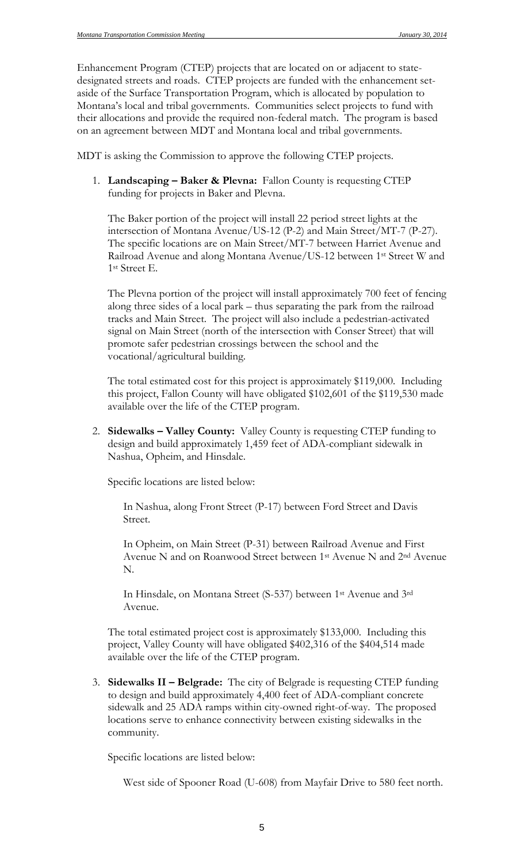Enhancement Program (CTEP) projects that are located on or adjacent to statedesignated streets and roads. CTEP projects are funded with the enhancement setaside of the Surface Transportation Program, which is allocated by population to Montana's local and tribal governments. Communities select projects to fund with their allocations and provide the required non-federal match. The program is based on an agreement between MDT and Montana local and tribal governments.

MDT is asking the Commission to approve the following CTEP projects.

1. **Landscaping – Baker & Plevna:** Fallon County is requesting CTEP funding for projects in Baker and Plevna.

The Baker portion of the project will install 22 period street lights at the intersection of Montana Avenue/US-12 (P-2) and Main Street/MT-7 (P-27). The specific locations are on Main Street/MT-7 between Harriet Avenue and Railroad Avenue and along Montana Avenue/US-12 between 1st Street W and 1st Street E.

The Plevna portion of the project will install approximately 700 feet of fencing along three sides of a local park – thus separating the park from the railroad tracks and Main Street. The project will also include a pedestrian-activated signal on Main Street (north of the intersection with Conser Street) that will promote safer pedestrian crossings between the school and the vocational/agricultural building.

The total estimated cost for this project is approximately \$119,000. Including this project, Fallon County will have obligated \$102,601 of the \$119,530 made available over the life of the CTEP program.

2. **Sidewalks – Valley County:** Valley County is requesting CTEP funding to design and build approximately 1,459 feet of ADA-compliant sidewalk in Nashua, Opheim, and Hinsdale.

Specific locations are listed below:

In Nashua, along Front Street (P-17) between Ford Street and Davis Street.

In Opheim, on Main Street (P-31) between Railroad Avenue and First Avenue N and on Roanwood Street between 1st Avenue N and 2nd Avenue N.

In Hinsdale, on Montana Street (S-537) between 1st Avenue and 3rd Avenue.

The total estimated project cost is approximately \$133,000. Including this project, Valley County will have obligated \$402,316 of the \$404,514 made available over the life of the CTEP program.

3. **Sidewalks II – Belgrade:** The city of Belgrade is requesting CTEP funding to design and build approximately 4,400 feet of ADA-compliant concrete sidewalk and 25 ADA ramps within city-owned right-of-way. The proposed locations serve to enhance connectivity between existing sidewalks in the community.

Specific locations are listed below:

West side of Spooner Road (U-608) from Mayfair Drive to 580 feet north.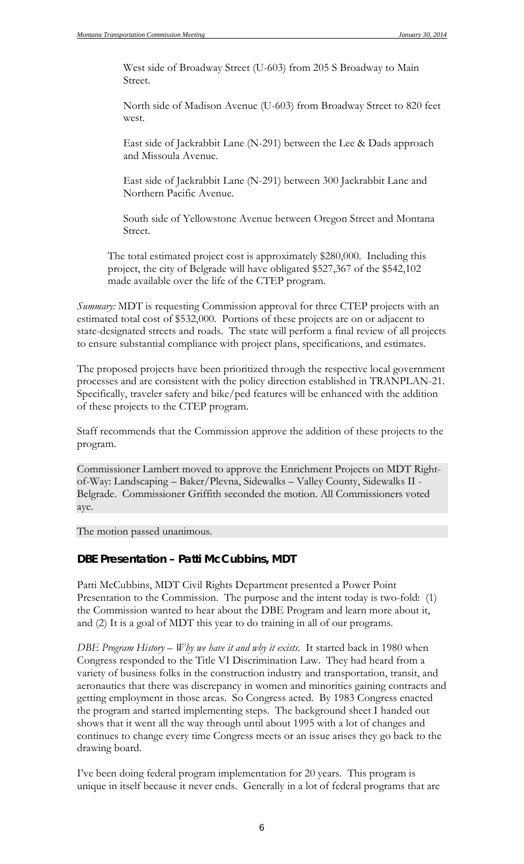West side of Broadway Street (U-603) from 205 S Broadway to Main Street.

North side of Madison Avenue (U-603) from Broadway Street to 820 feet west.

East side of Jackrabbit Lane (N-291) between the Lee & Dads approach and Missoula Avenue.

East side of Jackrabbit Lane (N-291) between 300 Jackrabbit Lane and Northern Pacific Avenue.

South side of Yellowstone Avenue between Oregon Street and Montana Street.

The total estimated project cost is approximately \$280,000. Including this project, the city of Belgrade will have obligated \$527,367 of the \$542,102 made available over the life of the CTEP program.

*Summary:* MDT is requesting Commission approval for three CTEP projects with an estimated total cost of \$532,000. Portions of these projects are on or adjacent to state-designated streets and roads. The state will perform a final review of all projects to ensure substantial compliance with project plans, specifications, and estimates.

The proposed projects have been prioritized through the respective local government processes and are consistent with the policy direction established in TRANPLAN-21. Specifically, traveler safety and bike/ped features will be enhanced with the addition of these projects to the CTEP program.

Staff recommends that the Commission approve the addition of these projects to the program.

Commissioner Lambert moved to approve the Enrichment Projects on MDT Rightof-Way: Landscaping – Baker/Plevna, Sidewalks – Valley County, Sidewalks II - Belgrade. Commissioner Griffith seconded the motion. All Commissioners voted aye.

The motion passed unanimous.

#### *DBE Presentation – Patti McCubbins, MDT*

Patti McCubbins, MDT Civil Rights Department presented a Power Point Presentation to the Commission. The purpose and the intent today is two-fold: (1) the Commission wanted to hear about the DBE Program and learn more about it, and (2) It is a goal of MDT this year to do training in all of our programs.

*DBE Program History – Why we have it and why it exists*. It started back in 1980 when Congress responded to the Title VI Discrimination Law. They had heard from a variety of business folks in the construction industry and transportation, transit, and aeronautics that there was discrepancy in women and minorities gaining contracts and getting employment in those areas. So Congress acted. By 1983 Congress enacted the program and started implementing steps. The background sheet I handed out shows that it went all the way through until about 1995 with a lot of changes and continues to change every time Congress meets or an issue arises they go back to the drawing board.

I've been doing federal program implementation for 20 years. This program is unique in itself because it never ends. Generally in a lot of federal programs that are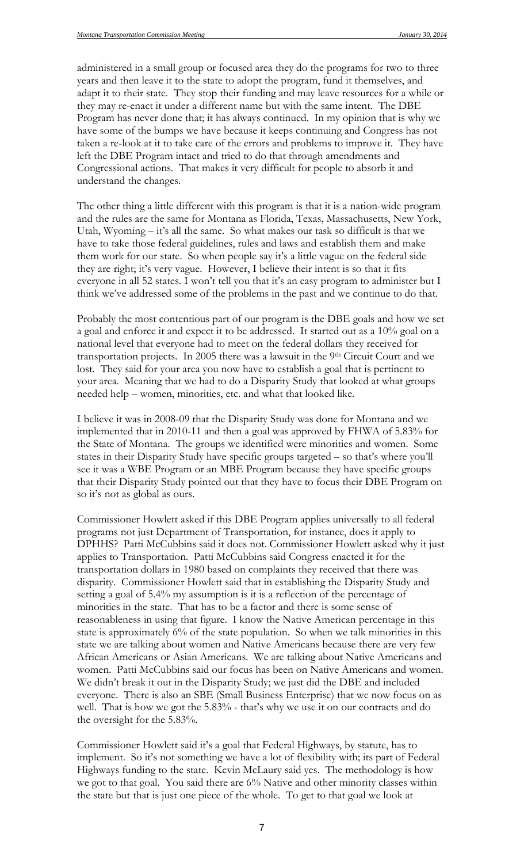administered in a small group or focused area they do the programs for two to three years and then leave it to the state to adopt the program, fund it themselves, and adapt it to their state. They stop their funding and may leave resources for a while or they may re-enact it under a different name but with the same intent. The DBE Program has never done that; it has always continued. In my opinion that is why we have some of the bumps we have because it keeps continuing and Congress has not taken a re-look at it to take care of the errors and problems to improve it. They have left the DBE Program intact and tried to do that through amendments and Congressional actions. That makes it very difficult for people to absorb it and understand the changes.

The other thing a little different with this program is that it is a nation-wide program and the rules are the same for Montana as Florida, Texas, Massachusetts, New York, Utah, Wyoming – it's all the same. So what makes our task so difficult is that we have to take those federal guidelines, rules and laws and establish them and make them work for our state. So when people say it's a little vague on the federal side they are right; it's very vague. However, I believe their intent is so that it fits everyone in all 52 states. I won't tell you that it's an easy program to administer but I think we've addressed some of the problems in the past and we continue to do that.

Probably the most contentious part of our program is the DBE goals and how we set a goal and enforce it and expect it to be addressed. It started out as a 10% goal on a national level that everyone had to meet on the federal dollars they received for transportation projects. In 2005 there was a lawsuit in the 9th Circuit Court and we lost. They said for your area you now have to establish a goal that is pertinent to your area. Meaning that we had to do a Disparity Study that looked at what groups needed help – women, minorities, etc. and what that looked like.

I believe it was in 2008-09 that the Disparity Study was done for Montana and we implemented that in 2010-11 and then a goal was approved by FHWA of 5.83% for the State of Montana. The groups we identified were minorities and women. Some states in their Disparity Study have specific groups targeted – so that's where you'll see it was a WBE Program or an MBE Program because they have specific groups that their Disparity Study pointed out that they have to focus their DBE Program on so it's not as global as ours.

Commissioner Howlett asked if this DBE Program applies universally to all federal programs not just Department of Transportation, for instance, does it apply to DPHHS? Patti McCubbins said it does not. Commissioner Howlett asked why it just applies to Transportation. Patti McCubbins said Congress enacted it for the transportation dollars in 1980 based on complaints they received that there was disparity. Commissioner Howlett said that in establishing the Disparity Study and setting a goal of 5.4% my assumption is it is a reflection of the percentage of minorities in the state. That has to be a factor and there is some sense of reasonableness in using that figure. I know the Native American percentage in this state is approximately 6% of the state population. So when we talk minorities in this state we are talking about women and Native Americans because there are very few African Americans or Asian Americans. We are talking about Native Americans and women. Patti McCubbins said our focus has been on Native Americans and women. We didn't break it out in the Disparity Study; we just did the DBE and included everyone. There is also an SBE (Small Business Enterprise) that we now focus on as well. That is how we got the 5.83% - that's why we use it on our contracts and do the oversight for the 5.83%.

Commissioner Howlett said it's a goal that Federal Highways, by statute, has to implement. So it's not something we have a lot of flexibility with; its part of Federal Highways funding to the state. Kevin McLaury said yes. The methodology is how we got to that goal. You said there are 6% Native and other minority classes within the state but that is just one piece of the whole. To get to that goal we look at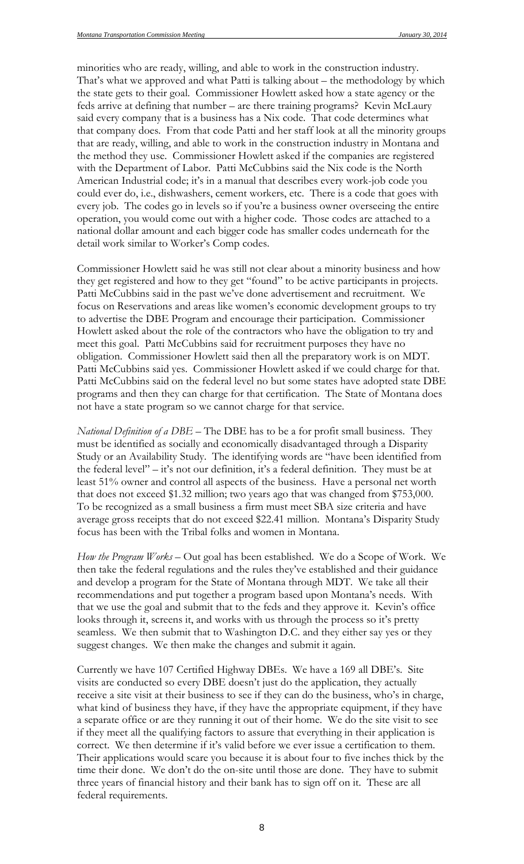minorities who are ready, willing, and able to work in the construction industry. That's what we approved and what Patti is talking about – the methodology by which the state gets to their goal. Commissioner Howlett asked how a state agency or the feds arrive at defining that number – are there training programs? Kevin McLaury said every company that is a business has a Nix code. That code determines what that company does. From that code Patti and her staff look at all the minority groups that are ready, willing, and able to work in the construction industry in Montana and the method they use. Commissioner Howlett asked if the companies are registered with the Department of Labor. Patti McCubbins said the Nix code is the North American Industrial code; it's in a manual that describes every work-job code you could ever do, i.e., dishwashers, cement workers, etc. There is a code that goes with every job. The codes go in levels so if you're a business owner overseeing the entire operation, you would come out with a higher code. Those codes are attached to a national dollar amount and each bigger code has smaller codes underneath for the detail work similar to Worker's Comp codes.

Commissioner Howlett said he was still not clear about a minority business and how they get registered and how to they get "found" to be active participants in projects. Patti McCubbins said in the past we've done advertisement and recruitment. We focus on Reservations and areas like women's economic development groups to try to advertise the DBE Program and encourage their participation. Commissioner Howlett asked about the role of the contractors who have the obligation to try and meet this goal. Patti McCubbins said for recruitment purposes they have no obligation. Commissioner Howlett said then all the preparatory work is on MDT. Patti McCubbins said yes. Commissioner Howlett asked if we could charge for that. Patti McCubbins said on the federal level no but some states have adopted state DBE programs and then they can charge for that certification. The State of Montana does not have a state program so we cannot charge for that service.

*National Definition of a DBE* – The DBE has to be a for profit small business. They must be identified as socially and economically disadvantaged through a Disparity Study or an Availability Study. The identifying words are "have been identified from the federal level" – it's not our definition, it's a federal definition. They must be at least 51% owner and control all aspects of the business. Have a personal net worth that does not exceed \$1.32 million; two years ago that was changed from \$753,000. To be recognized as a small business a firm must meet SBA size criteria and have average gross receipts that do not exceed \$22.41 million. Montana's Disparity Study focus has been with the Tribal folks and women in Montana.

*How the Program Works* – Out goal has been established. We do a Scope of Work. We then take the federal regulations and the rules they've established and their guidance and develop a program for the State of Montana through MDT. We take all their recommendations and put together a program based upon Montana's needs. With that we use the goal and submit that to the feds and they approve it. Kevin's office looks through it, screens it, and works with us through the process so it's pretty seamless. We then submit that to Washington D.C. and they either say yes or they suggest changes. We then make the changes and submit it again.

Currently we have 107 Certified Highway DBEs. We have a 169 all DBE's. Site visits are conducted so every DBE doesn't just do the application, they actually receive a site visit at their business to see if they can do the business, who's in charge, what kind of business they have, if they have the appropriate equipment, if they have a separate office or are they running it out of their home. We do the site visit to see if they meet all the qualifying factors to assure that everything in their application is correct. We then determine if it's valid before we ever issue a certification to them. Their applications would scare you because it is about four to five inches thick by the time their done. We don't do the on-site until those are done. They have to submit three years of financial history and their bank has to sign off on it. These are all federal requirements.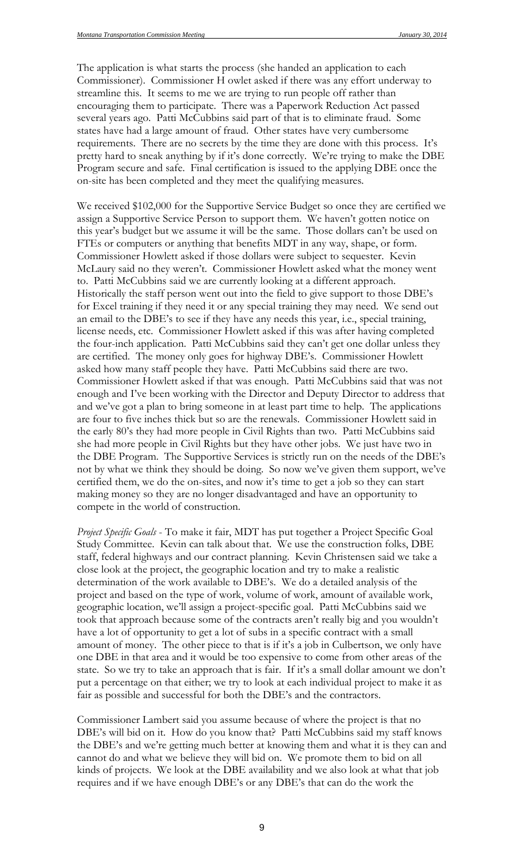The application is what starts the process (she handed an application to each Commissioner). Commissioner H owlet asked if there was any effort underway to streamline this. It seems to me we are trying to run people off rather than encouraging them to participate. There was a Paperwork Reduction Act passed several years ago. Patti McCubbins said part of that is to eliminate fraud. Some states have had a large amount of fraud. Other states have very cumbersome requirements. There are no secrets by the time they are done with this process. It's pretty hard to sneak anything by if it's done correctly. We're trying to make the DBE Program secure and safe. Final certification is issued to the applying DBE once the on-site has been completed and they meet the qualifying measures.

We received \$102,000 for the Supportive Service Budget so once they are certified we assign a Supportive Service Person to support them. We haven't gotten notice on this year's budget but we assume it will be the same. Those dollars can't be used on FTEs or computers or anything that benefits MDT in any way, shape, or form. Commissioner Howlett asked if those dollars were subject to sequester. Kevin McLaury said no they weren't. Commissioner Howlett asked what the money went to. Patti McCubbins said we are currently looking at a different approach. Historically the staff person went out into the field to give support to those DBE's for Excel training if they need it or any special training they may need. We send out an email to the DBE's to see if they have any needs this year, i.e., special training, license needs, etc. Commissioner Howlett asked if this was after having completed the four-inch application. Patti McCubbins said they can't get one dollar unless they are certified. The money only goes for highway DBE's. Commissioner Howlett asked how many staff people they have. Patti McCubbins said there are two. Commissioner Howlett asked if that was enough. Patti McCubbins said that was not enough and I've been working with the Director and Deputy Director to address that and we've got a plan to bring someone in at least part time to help. The applications are four to five inches thick but so are the renewals. Commissioner Howlett said in the early 80's they had more people in Civil Rights than two. Patti McCubbins said she had more people in Civil Rights but they have other jobs. We just have two in the DBE Program. The Supportive Services is strictly run on the needs of the DBE's not by what we think they should be doing. So now we've given them support, we've certified them, we do the on-sites, and now it's time to get a job so they can start making money so they are no longer disadvantaged and have an opportunity to compete in the world of construction.

*Project Specific Goals* - To make it fair, MDT has put together a Project Specific Goal Study Committee. Kevin can talk about that. We use the construction folks, DBE staff, federal highways and our contract planning. Kevin Christensen said we take a close look at the project, the geographic location and try to make a realistic determination of the work available to DBE's. We do a detailed analysis of the project and based on the type of work, volume of work, amount of available work, geographic location, we'll assign a project-specific goal. Patti McCubbins said we took that approach because some of the contracts aren't really big and you wouldn't have a lot of opportunity to get a lot of subs in a specific contract with a small amount of money. The other piece to that is if it's a job in Culbertson, we only have one DBE in that area and it would be too expensive to come from other areas of the state. So we try to take an approach that is fair. If it's a small dollar amount we don't put a percentage on that either; we try to look at each individual project to make it as fair as possible and successful for both the DBE's and the contractors.

Commissioner Lambert said you assume because of where the project is that no DBE's will bid on it. How do you know that? Patti McCubbins said my staff knows the DBE's and we're getting much better at knowing them and what it is they can and cannot do and what we believe they will bid on. We promote them to bid on all kinds of projects. We look at the DBE availability and we also look at what that job requires and if we have enough DBE's or any DBE's that can do the work the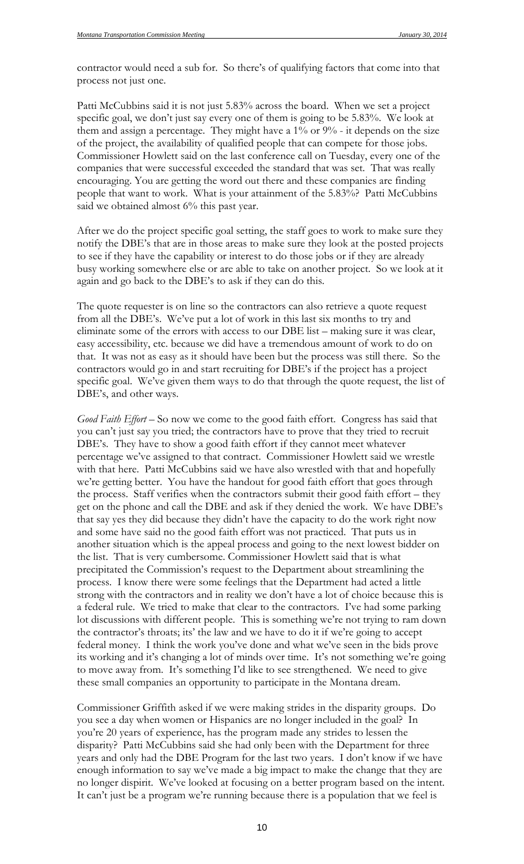contractor would need a sub for. So there's of qualifying factors that come into that process not just one.

Patti McCubbins said it is not just 5.83% across the board. When we set a project specific goal, we don't just say every one of them is going to be 5.83%. We look at them and assign a percentage. They might have a 1% or 9% - it depends on the size of the project, the availability of qualified people that can compete for those jobs. Commissioner Howlett said on the last conference call on Tuesday, every one of the companies that were successful exceeded the standard that was set. That was really encouraging. You are getting the word out there and these companies are finding people that want to work. What is your attainment of the 5.83%? Patti McCubbins said we obtained almost 6% this past year.

After we do the project specific goal setting, the staff goes to work to make sure they notify the DBE's that are in those areas to make sure they look at the posted projects to see if they have the capability or interest to do those jobs or if they are already busy working somewhere else or are able to take on another project. So we look at it again and go back to the DBE's to ask if they can do this.

The quote requester is on line so the contractors can also retrieve a quote request from all the DBE's. We've put a lot of work in this last six months to try and eliminate some of the errors with access to our DBE list – making sure it was clear, easy accessibility, etc. because we did have a tremendous amount of work to do on that. It was not as easy as it should have been but the process was still there. So the contractors would go in and start recruiting for DBE's if the project has a project specific goal. We've given them ways to do that through the quote request, the list of DBE's, and other ways.

*Good Faith Effort* – So now we come to the good faith effort. Congress has said that you can't just say you tried; the contractors have to prove that they tried to recruit DBE's. They have to show a good faith effort if they cannot meet whatever percentage we've assigned to that contract. Commissioner Howlett said we wrestle with that here. Patti McCubbins said we have also wrestled with that and hopefully we're getting better. You have the handout for good faith effort that goes through the process. Staff verifies when the contractors submit their good faith effort – they get on the phone and call the DBE and ask if they denied the work. We have DBE's that say yes they did because they didn't have the capacity to do the work right now and some have said no the good faith effort was not practiced. That puts us in another situation which is the appeal process and going to the next lowest bidder on the list. That is very cumbersome. Commissioner Howlett said that is what precipitated the Commission's request to the Department about streamlining the process. I know there were some feelings that the Department had acted a little strong with the contractors and in reality we don't have a lot of choice because this is a federal rule. We tried to make that clear to the contractors. I've had some parking lot discussions with different people. This is something we're not trying to ram down the contractor's throats; its' the law and we have to do it if we're going to accept federal money. I think the work you've done and what we've seen in the bids prove its working and it's changing a lot of minds over time. It's not something we're going to move away from. It's something I'd like to see strengthened. We need to give these small companies an opportunity to participate in the Montana dream.

Commissioner Griffith asked if we were making strides in the disparity groups. Do you see a day when women or Hispanics are no longer included in the goal? In you're 20 years of experience, has the program made any strides to lessen the disparity? Patti McCubbins said she had only been with the Department for three years and only had the DBE Program for the last two years. I don't know if we have enough information to say we've made a big impact to make the change that they are no longer dispirit. We've looked at focusing on a better program based on the intent. It can't just be a program we're running because there is a population that we feel is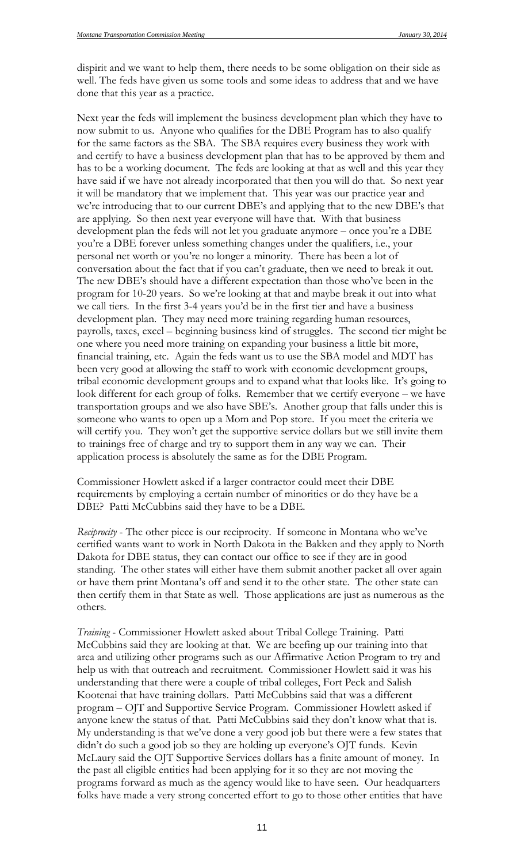dispirit and we want to help them, there needs to be some obligation on their side as well. The feds have given us some tools and some ideas to address that and we have done that this year as a practice.

Next year the feds will implement the business development plan which they have to now submit to us. Anyone who qualifies for the DBE Program has to also qualify for the same factors as the SBA. The SBA requires every business they work with and certify to have a business development plan that has to be approved by them and has to be a working document. The feds are looking at that as well and this year they have said if we have not already incorporated that then you will do that. So next year it will be mandatory that we implement that. This year was our practice year and we're introducing that to our current DBE's and applying that to the new DBE's that are applying. So then next year everyone will have that. With that business development plan the feds will not let you graduate anymore – once you're a DBE you're a DBE forever unless something changes under the qualifiers, i.e., your personal net worth or you're no longer a minority. There has been a lot of conversation about the fact that if you can't graduate, then we need to break it out. The new DBE's should have a different expectation than those who've been in the program for 10-20 years. So we're looking at that and maybe break it out into what we call tiers. In the first 3-4 years you'd be in the first tier and have a business development plan. They may need more training regarding human resources, payrolls, taxes, excel – beginning business kind of struggles. The second tier might be one where you need more training on expanding your business a little bit more, financial training, etc. Again the feds want us to use the SBA model and MDT has been very good at allowing the staff to work with economic development groups, tribal economic development groups and to expand what that looks like. It's going to look different for each group of folks. Remember that we certify everyone – we have transportation groups and we also have SBE's. Another group that falls under this is someone who wants to open up a Mom and Pop store. If you meet the criteria we will certify you. They won't get the supportive service dollars but we still invite them to trainings free of charge and try to support them in any way we can. Their application process is absolutely the same as for the DBE Program.

Commissioner Howlett asked if a larger contractor could meet their DBE requirements by employing a certain number of minorities or do they have be a DBE? Patti McCubbins said they have to be a DBE.

*Reciprocity* - The other piece is our reciprocity. If someone in Montana who we've certified wants want to work in North Dakota in the Bakken and they apply to North Dakota for DBE status, they can contact our office to see if they are in good standing. The other states will either have them submit another packet all over again or have them print Montana's off and send it to the other state. The other state can then certify them in that State as well. Those applications are just as numerous as the others.

*Training* - Commissioner Howlett asked about Tribal College Training. Patti McCubbins said they are looking at that. We are beefing up our training into that area and utilizing other programs such as our Affirmative Action Program to try and help us with that outreach and recruitment. Commissioner Howlett said it was his understanding that there were a couple of tribal colleges, Fort Peck and Salish Kootenai that have training dollars. Patti McCubbins said that was a different program – OJT and Supportive Service Program. Commissioner Howlett asked if anyone knew the status of that. Patti McCubbins said they don't know what that is. My understanding is that we've done a very good job but there were a few states that didn't do such a good job so they are holding up everyone's OJT funds. Kevin McLaury said the OJT Supportive Services dollars has a finite amount of money. In the past all eligible entities had been applying for it so they are not moving the programs forward as much as the agency would like to have seen. Our headquarters folks have made a very strong concerted effort to go to those other entities that have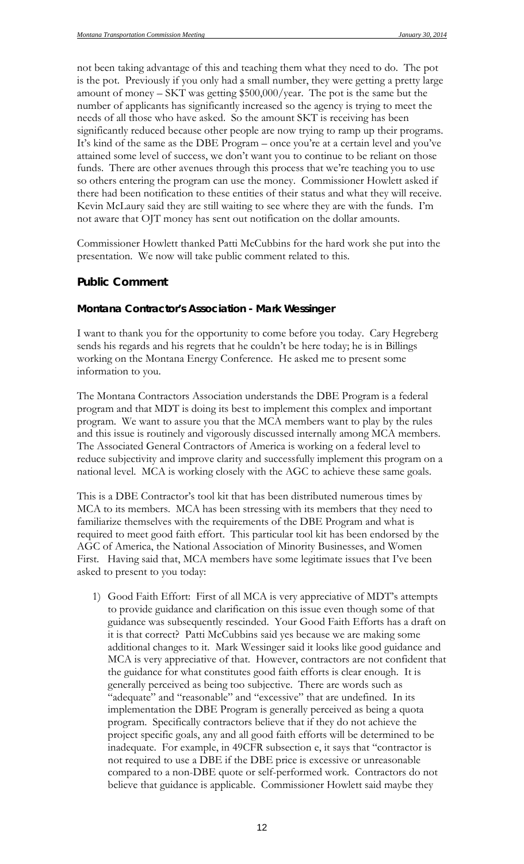not been taking advantage of this and teaching them what they need to do. The pot is the pot. Previously if you only had a small number, they were getting a pretty large amount of money – SKT was getting \$500,000/year. The pot is the same but the number of applicants has significantly increased so the agency is trying to meet the needs of all those who have asked. So the amount SKT is receiving has been significantly reduced because other people are now trying to ramp up their programs. It's kind of the same as the DBE Program – once you're at a certain level and you've attained some level of success, we don't want you to continue to be reliant on those funds. There are other avenues through this process that we're teaching you to use so others entering the program can use the money. Commissioner Howlett asked if there had been notification to these entities of their status and what they will receive. Kevin McLaury said they are still waiting to see where they are with the funds. I'm not aware that OJT money has sent out notification on the dollar amounts.

Commissioner Howlett thanked Patti McCubbins for the hard work she put into the presentation. We now will take public comment related to this.

#### **Public Comment**

#### *Montana Contractor's Association - Mark Wessinger*

I want to thank you for the opportunity to come before you today. Cary Hegreberg sends his regards and his regrets that he couldn't be here today; he is in Billings working on the Montana Energy Conference. He asked me to present some information to you.

The Montana Contractors Association understands the DBE Program is a federal program and that MDT is doing its best to implement this complex and important program. We want to assure you that the MCA members want to play by the rules and this issue is routinely and vigorously discussed internally among MCA members. The Associated General Contractors of America is working on a federal level to reduce subjectivity and improve clarity and successfully implement this program on a national level. MCA is working closely with the AGC to achieve these same goals.

This is a DBE Contractor's tool kit that has been distributed numerous times by MCA to its members. MCA has been stressing with its members that they need to familiarize themselves with the requirements of the DBE Program and what is required to meet good faith effort. This particular tool kit has been endorsed by the AGC of America, the National Association of Minority Businesses, and Women First. Having said that, MCA members have some legitimate issues that I've been asked to present to you today:

1) Good Faith Effort: First of all MCA is very appreciative of MDT's attempts to provide guidance and clarification on this issue even though some of that guidance was subsequently rescinded. Your Good Faith Efforts has a draft on it is that correct? Patti McCubbins said yes because we are making some additional changes to it. Mark Wessinger said it looks like good guidance and MCA is very appreciative of that. However, contractors are not confident that the guidance for what constitutes good faith efforts is clear enough. It is generally perceived as being too subjective. There are words such as "adequate" and "reasonable" and "excessive" that are undefined. In its implementation the DBE Program is generally perceived as being a quota program. Specifically contractors believe that if they do not achieve the project specific goals, any and all good faith efforts will be determined to be inadequate. For example, in 49CFR subsection e, it says that "contractor is not required to use a DBE if the DBE price is excessive or unreasonable compared to a non-DBE quote or self-performed work. Contractors do not believe that guidance is applicable. Commissioner Howlett said maybe they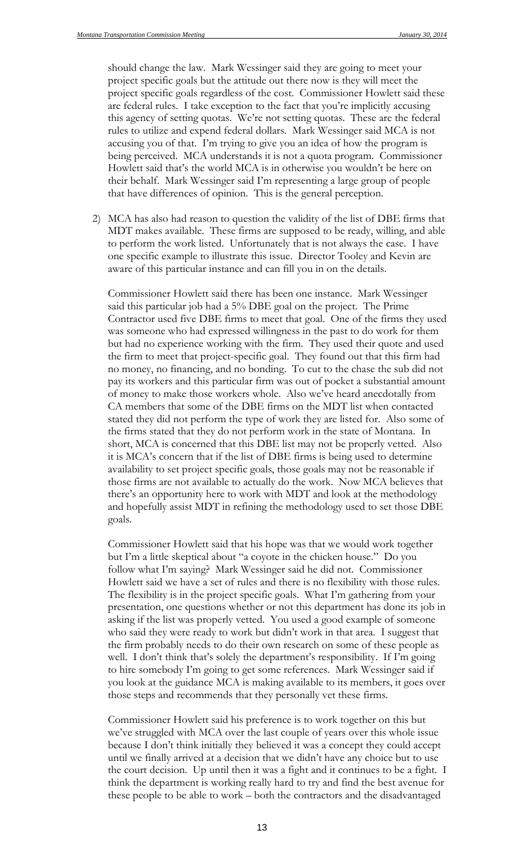should change the law. Mark Wessinger said they are going to meet your project specific goals but the attitude out there now is they will meet the project specific goals regardless of the cost. Commissioner Howlett said these are federal rules. I take exception to the fact that you're implicitly accusing this agency of setting quotas. We're not setting quotas. These are the federal rules to utilize and expend federal dollars. Mark Wessinger said MCA is not accusing you of that. I'm trying to give you an idea of how the program is being perceived. MCA understands it is not a quota program. Commissioner Howlett said that's the world MCA is in otherwise you wouldn't be here on their behalf. Mark Wessinger said I'm representing a large group of people that have differences of opinion. This is the general perception.

2) MCA has also had reason to question the validity of the list of DBE firms that MDT makes available. These firms are supposed to be ready, willing, and able to perform the work listed. Unfortunately that is not always the case. I have one specific example to illustrate this issue. Director Tooley and Kevin are aware of this particular instance and can fill you in on the details.

Commissioner Howlett said there has been one instance. Mark Wessinger said this particular job had a 5% DBE goal on the project. The Prime Contractor used five DBE firms to meet that goal. One of the firms they used was someone who had expressed willingness in the past to do work for them but had no experience working with the firm. They used their quote and used the firm to meet that project-specific goal. They found out that this firm had no money, no financing, and no bonding. To cut to the chase the sub did not pay its workers and this particular firm was out of pocket a substantial amount of money to make those workers whole. Also we've heard anecdotally from CA members that some of the DBE firms on the MDT list when contacted stated they did not perform the type of work they are listed for. Also some of the firms stated that they do not perform work in the state of Montana. In short, MCA is concerned that this DBE list may not be properly vetted. Also it is MCA's concern that if the list of DBE firms is being used to determine availability to set project specific goals, those goals may not be reasonable if those firms are not available to actually do the work. Now MCA believes that there's an opportunity here to work with MDT and look at the methodology and hopefully assist MDT in refining the methodology used to set those DBE goals.

Commissioner Howlett said that his hope was that we would work together but I'm a little skeptical about "a coyote in the chicken house." Do you follow what I'm saying? Mark Wessinger said he did not. Commissioner Howlett said we have a set of rules and there is no flexibility with those rules. The flexibility is in the project specific goals. What I'm gathering from your presentation, one questions whether or not this department has done its job in asking if the list was properly vetted. You used a good example of someone who said they were ready to work but didn't work in that area. I suggest that the firm probably needs to do their own research on some of these people as well. I don't think that's solely the department's responsibility. If I'm going to hire somebody I'm going to get some references. Mark Wessinger said if you look at the guidance MCA is making available to its members, it goes over those steps and recommends that they personally vet these firms.

Commissioner Howlett said his preference is to work together on this but we've struggled with MCA over the last couple of years over this whole issue because I don't think initially they believed it was a concept they could accept until we finally arrived at a decision that we didn't have any choice but to use the court decision. Up until then it was a fight and it continues to be a fight. I think the department is working really hard to try and find the best avenue for these people to be able to work – both the contractors and the disadvantaged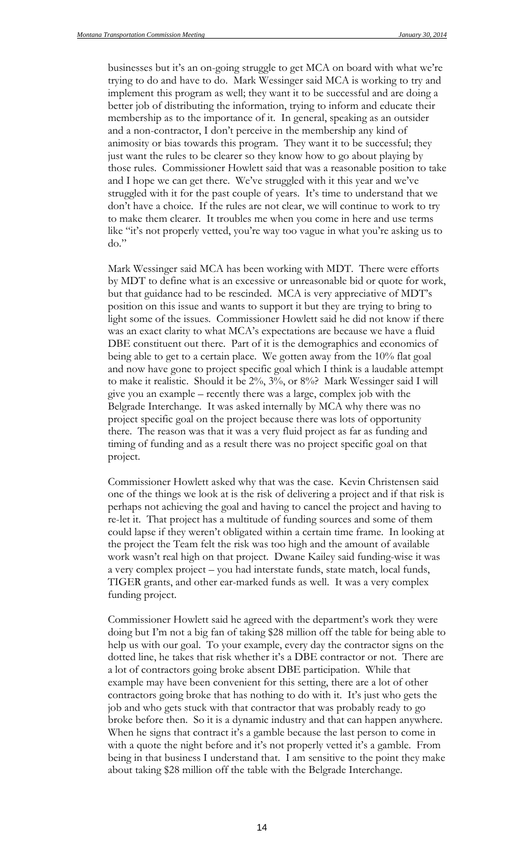businesses but it's an on-going struggle to get MCA on board with what we're trying to do and have to do. Mark Wessinger said MCA is working to try and implement this program as well; they want it to be successful and are doing a better job of distributing the information, trying to inform and educate their membership as to the importance of it. In general, speaking as an outsider and a non-contractor, I don't perceive in the membership any kind of animosity or bias towards this program. They want it to be successful; they just want the rules to be clearer so they know how to go about playing by those rules. Commissioner Howlett said that was a reasonable position to take and I hope we can get there. We've struggled with it this year and we've struggled with it for the past couple of years. It's time to understand that we don't have a choice. If the rules are not clear, we will continue to work to try to make them clearer. It troubles me when you come in here and use terms like "it's not properly vetted, you're way too vague in what you're asking us to do."

Mark Wessinger said MCA has been working with MDT. There were efforts by MDT to define what is an excessive or unreasonable bid or quote for work, but that guidance had to be rescinded. MCA is very appreciative of MDT's position on this issue and wants to support it but they are trying to bring to light some of the issues. Commissioner Howlett said he did not know if there was an exact clarity to what MCA's expectations are because we have a fluid DBE constituent out there. Part of it is the demographics and economics of being able to get to a certain place. We gotten away from the 10% flat goal and now have gone to project specific goal which I think is a laudable attempt to make it realistic. Should it be 2%, 3%, or 8%? Mark Wessinger said I will give you an example – recently there was a large, complex job with the Belgrade Interchange. It was asked internally by MCA why there was no project specific goal on the project because there was lots of opportunity there. The reason was that it was a very fluid project as far as funding and timing of funding and as a result there was no project specific goal on that project.

Commissioner Howlett asked why that was the case. Kevin Christensen said one of the things we look at is the risk of delivering a project and if that risk is perhaps not achieving the goal and having to cancel the project and having to re-let it. That project has a multitude of funding sources and some of them could lapse if they weren't obligated within a certain time frame. In looking at the project the Team felt the risk was too high and the amount of available work wasn't real high on that project. Dwane Kailey said funding-wise it was a very complex project – you had interstate funds, state match, local funds, TIGER grants, and other ear-marked funds as well. It was a very complex funding project.

Commissioner Howlett said he agreed with the department's work they were doing but I'm not a big fan of taking \$28 million off the table for being able to help us with our goal. To your example, every day the contractor signs on the dotted line, he takes that risk whether it's a DBE contractor or not. There are a lot of contractors going broke absent DBE participation. While that example may have been convenient for this setting, there are a lot of other contractors going broke that has nothing to do with it. It's just who gets the job and who gets stuck with that contractor that was probably ready to go broke before then. So it is a dynamic industry and that can happen anywhere. When he signs that contract it's a gamble because the last person to come in with a quote the night before and it's not properly vetted it's a gamble. From being in that business I understand that. I am sensitive to the point they make about taking \$28 million off the table with the Belgrade Interchange.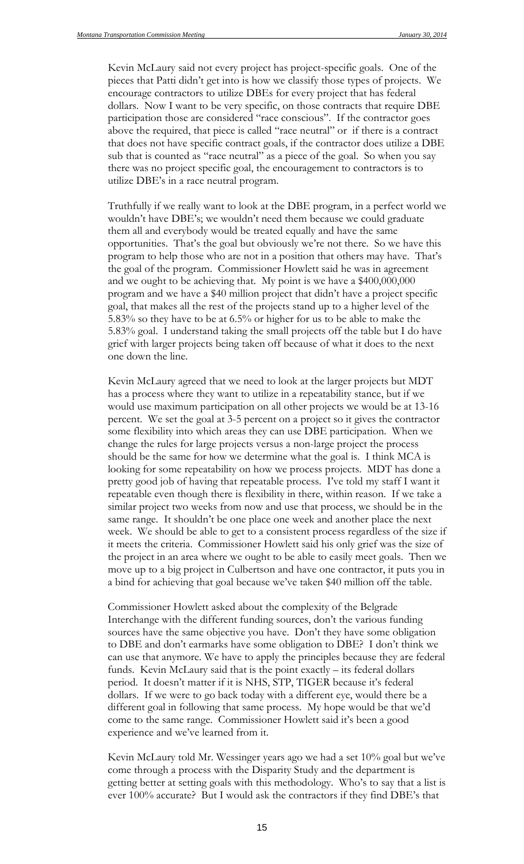Kevin McLaury said not every project has project-specific goals. One of the pieces that Patti didn't get into is how we classify those types of projects. We encourage contractors to utilize DBEs for every project that has federal dollars. Now I want to be very specific, on those contracts that require DBE participation those are considered "race conscious". If the contractor goes above the required, that piece is called "race neutral" or if there is a contract that does not have specific contract goals, if the contractor does utilize a DBE sub that is counted as "race neutral" as a piece of the goal. So when you say there was no project specific goal, the encouragement to contractors is to utilize DBE's in a race neutral program.

Truthfully if we really want to look at the DBE program, in a perfect world we wouldn't have DBE's; we wouldn't need them because we could graduate them all and everybody would be treated equally and have the same opportunities. That's the goal but obviously we're not there. So we have this program to help those who are not in a position that others may have. That's the goal of the program. Commissioner Howlett said he was in agreement and we ought to be achieving that. My point is we have a \$400,000,000 program and we have a \$40 million project that didn't have a project specific goal, that makes all the rest of the projects stand up to a higher level of the 5.83% so they have to be at 6.5% or higher for us to be able to make the 5.83% goal. I understand taking the small projects off the table but I do have grief with larger projects being taken off because of what it does to the next one down the line.

Kevin McLaury agreed that we need to look at the larger projects but MDT has a process where they want to utilize in a repeatability stance, but if we would use maximum participation on all other projects we would be at 13-16 percent. We set the goal at 3-5 percent on a project so it gives the contractor some flexibility into which areas they can use DBE participation. When we change the rules for large projects versus a non-large project the process should be the same for how we determine what the goal is. I think MCA is looking for some repeatability on how we process projects. MDT has done a pretty good job of having that repeatable process. I've told my staff I want it repeatable even though there is flexibility in there, within reason. If we take a similar project two weeks from now and use that process, we should be in the same range. It shouldn't be one place one week and another place the next week. We should be able to get to a consistent process regardless of the size if it meets the criteria. Commissioner Howlett said his only grief was the size of the project in an area where we ought to be able to easily meet goals. Then we move up to a big project in Culbertson and have one contractor, it puts you in a bind for achieving that goal because we've taken \$40 million off the table.

Commissioner Howlett asked about the complexity of the Belgrade Interchange with the different funding sources, don't the various funding sources have the same objective you have. Don't they have some obligation to DBE and don't earmarks have some obligation to DBE? I don't think we can use that anymore. We have to apply the principles because they are federal funds. Kevin McLaury said that is the point exactly – its federal dollars period. It doesn't matter if it is NHS, STP, TIGER because it's federal dollars. If we were to go back today with a different eye, would there be a different goal in following that same process. My hope would be that we'd come to the same range. Commissioner Howlett said it's been a good experience and we've learned from it.

Kevin McLaury told Mr. Wessinger years ago we had a set 10% goal but we've come through a process with the Disparity Study and the department is getting better at setting goals with this methodology. Who's to say that a list is ever 100% accurate? But I would ask the contractors if they find DBE's that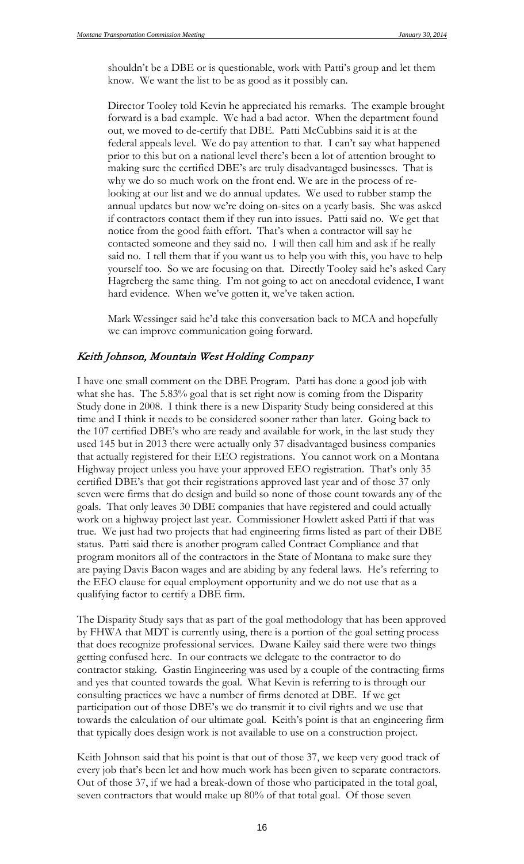shouldn't be a DBE or is questionable, work with Patti's group and let them know. We want the list to be as good as it possibly can.

Director Tooley told Kevin he appreciated his remarks. The example brought forward is a bad example. We had a bad actor. When the department found out, we moved to de-certify that DBE. Patti McCubbins said it is at the federal appeals level. We do pay attention to that. I can't say what happened prior to this but on a national level there's been a lot of attention brought to making sure the certified DBE's are truly disadvantaged businesses. That is why we do so much work on the front end. We are in the process of relooking at our list and we do annual updates. We used to rubber stamp the annual updates but now we're doing on-sites on a yearly basis. She was asked if contractors contact them if they run into issues. Patti said no. We get that notice from the good faith effort. That's when a contractor will say he contacted someone and they said no. I will then call him and ask if he really said no. I tell them that if you want us to help you with this, you have to help yourself too. So we are focusing on that. Directly Tooley said he's asked Cary Hagreberg the same thing. I'm not going to act on anecdotal evidence, I want hard evidence. When we've gotten it, we've taken action.

Mark Wessinger said he'd take this conversation back to MCA and hopefully we can improve communication going forward.

#### Keith Johnson, Mountain West Holding Company

I have one small comment on the DBE Program. Patti has done a good job with what she has. The 5.83% goal that is set right now is coming from the Disparity Study done in 2008. I think there is a new Disparity Study being considered at this time and I think it needs to be considered sooner rather than later. Going back to the 107 certified DBE's who are ready and available for work, in the last study they used 145 but in 2013 there were actually only 37 disadvantaged business companies that actually registered for their EEO registrations. You cannot work on a Montana Highway project unless you have your approved EEO registration. That's only 35 certified DBE's that got their registrations approved last year and of those 37 only seven were firms that do design and build so none of those count towards any of the goals. That only leaves 30 DBE companies that have registered and could actually work on a highway project last year. Commissioner Howlett asked Patti if that was true. We just had two projects that had engineering firms listed as part of their DBE status. Patti said there is another program called Contract Compliance and that program monitors all of the contractors in the State of Montana to make sure they are paying Davis Bacon wages and are abiding by any federal laws. He's referring to the EEO clause for equal employment opportunity and we do not use that as a qualifying factor to certify a DBE firm.

The Disparity Study says that as part of the goal methodology that has been approved by FHWA that MDT is currently using, there is a portion of the goal setting process that does recognize professional services. Dwane Kailey said there were two things getting confused here. In our contracts we delegate to the contractor to do contractor staking. Gastin Engineering was used by a couple of the contracting firms and yes that counted towards the goal. What Kevin is referring to is through our consulting practices we have a number of firms denoted at DBE. If we get participation out of those DBE's we do transmit it to civil rights and we use that towards the calculation of our ultimate goal. Keith's point is that an engineering firm that typically does design work is not available to use on a construction project.

Keith Johnson said that his point is that out of those 37, we keep very good track of every job that's been let and how much work has been given to separate contractors. Out of those 37, if we had a break-down of those who participated in the total goal, seven contractors that would make up 80% of that total goal. Of those seven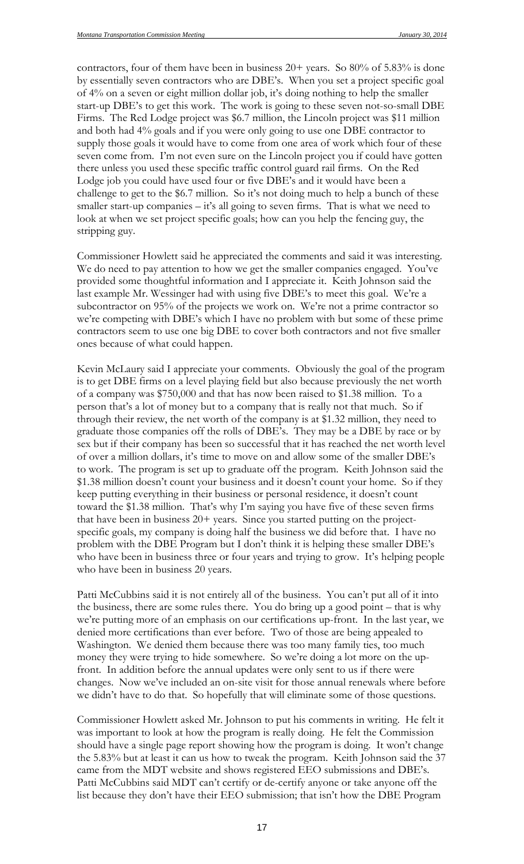contractors, four of them have been in business 20+ years. So 80% of 5.83% is done by essentially seven contractors who are DBE's. When you set a project specific goal of 4% on a seven or eight million dollar job, it's doing nothing to help the smaller start-up DBE's to get this work. The work is going to these seven not-so-small DBE Firms. The Red Lodge project was \$6.7 million, the Lincoln project was \$11 million and both had 4% goals and if you were only going to use one DBE contractor to supply those goals it would have to come from one area of work which four of these seven come from. I'm not even sure on the Lincoln project you if could have gotten there unless you used these specific traffic control guard rail firms. On the Red Lodge job you could have used four or five DBE's and it would have been a challenge to get to the \$6.7 million. So it's not doing much to help a bunch of these smaller start-up companies  $-$  it's all going to seven firms. That is what we need to look at when we set project specific goals; how can you help the fencing guy, the stripping guy.

Commissioner Howlett said he appreciated the comments and said it was interesting. We do need to pay attention to how we get the smaller companies engaged. You've provided some thoughtful information and I appreciate it. Keith Johnson said the last example Mr. Wessinger had with using five DBE's to meet this goal. We're a subcontractor on 95% of the projects we work on. We're not a prime contractor so we're competing with DBE's which I have no problem with but some of these prime contractors seem to use one big DBE to cover both contractors and not five smaller ones because of what could happen.

Kevin McLaury said I appreciate your comments. Obviously the goal of the program is to get DBE firms on a level playing field but also because previously the net worth of a company was \$750,000 and that has now been raised to \$1.38 million. To a person that's a lot of money but to a company that is really not that much. So if through their review, the net worth of the company is at \$1.32 million, they need to graduate those companies off the rolls of DBE's. They may be a DBE by race or by sex but if their company has been so successful that it has reached the net worth level of over a million dollars, it's time to move on and allow some of the smaller DBE's to work. The program is set up to graduate off the program. Keith Johnson said the \$1.38 million doesn't count your business and it doesn't count your home. So if they keep putting everything in their business or personal residence, it doesn't count toward the \$1.38 million. That's why I'm saying you have five of these seven firms that have been in business 20+ years. Since you started putting on the projectspecific goals, my company is doing half the business we did before that. I have no problem with the DBE Program but I don't think it is helping these smaller DBE's who have been in business three or four years and trying to grow. It's helping people who have been in business 20 years.

Patti McCubbins said it is not entirely all of the business. You can't put all of it into the business, there are some rules there. You do bring up a good point – that is why we're putting more of an emphasis on our certifications up-front. In the last year, we denied more certifications than ever before. Two of those are being appealed to Washington. We denied them because there was too many family ties, too much money they were trying to hide somewhere. So we're doing a lot more on the upfront. In addition before the annual updates were only sent to us if there were changes. Now we've included an on-site visit for those annual renewals where before we didn't have to do that. So hopefully that will eliminate some of those questions.

Commissioner Howlett asked Mr. Johnson to put his comments in writing. He felt it was important to look at how the program is really doing. He felt the Commission should have a single page report showing how the program is doing. It won't change the 5.83% but at least it can us how to tweak the program. Keith Johnson said the 37 came from the MDT website and shows registered EEO submissions and DBE's. Patti McCubbins said MDT can't certify or de-certify anyone or take anyone off the list because they don't have their EEO submission; that isn't how the DBE Program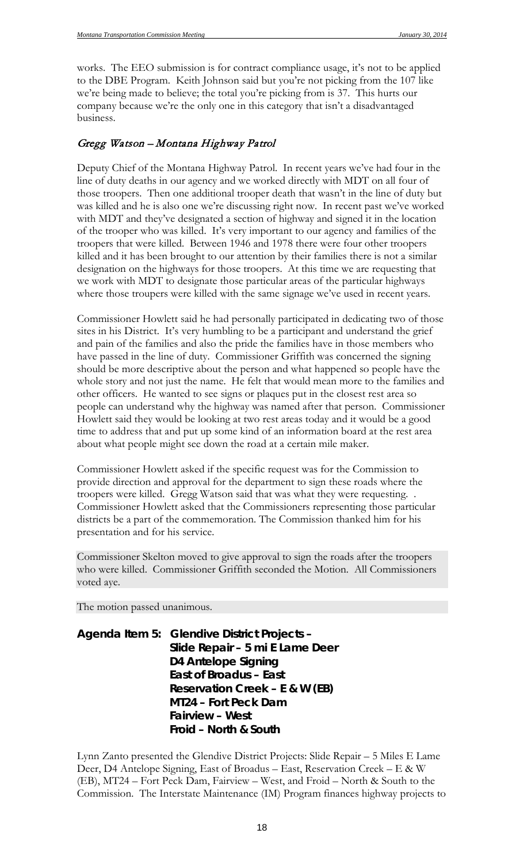works. The EEO submission is for contract compliance usage, it's not to be applied to the DBE Program. Keith Johnson said but you're not picking from the 107 like we're being made to believe; the total you're picking from is 37. This hurts our company because we're the only one in this category that isn't a disadvantaged business.

#### Gregg Watson – Montana Highway Patrol

Deputy Chief of the Montana Highway Patrol. In recent years we've had four in the line of duty deaths in our agency and we worked directly with MDT on all four of those troopers. Then one additional trooper death that wasn't in the line of duty but was killed and he is also one we're discussing right now. In recent past we've worked with MDT and they've designated a section of highway and signed it in the location of the trooper who was killed. It's very important to our agency and families of the troopers that were killed. Between 1946 and 1978 there were four other troopers killed and it has been brought to our attention by their families there is not a similar designation on the highways for those troopers. At this time we are requesting that we work with MDT to designate those particular areas of the particular highways where those troupers were killed with the same signage we've used in recent years.

Commissioner Howlett said he had personally participated in dedicating two of those sites in his District. It's very humbling to be a participant and understand the grief and pain of the families and also the pride the families have in those members who have passed in the line of duty. Commissioner Griffith was concerned the signing should be more descriptive about the person and what happened so people have the whole story and not just the name. He felt that would mean more to the families and other officers. He wanted to see signs or plaques put in the closest rest area so people can understand why the highway was named after that person. Commissioner Howlett said they would be looking at two rest areas today and it would be a good time to address that and put up some kind of an information board at the rest area about what people might see down the road at a certain mile maker.

Commissioner Howlett asked if the specific request was for the Commission to provide direction and approval for the department to sign these roads where the troopers were killed. Gregg Watson said that was what they were requesting. . Commissioner Howlett asked that the Commissioners representing those particular districts be a part of the commemoration. The Commission thanked him for his presentation and for his service.

Commissioner Skelton moved to give approval to sign the roads after the troopers who were killed. Commissioner Griffith seconded the Motion. All Commissioners voted aye.

The motion passed unanimous.

*Agenda Item 5: Glendive District Projects – Slide Repair – 5 mi E Lame Deer D4 Antelope Signing East of Broadus – East Reservation Creek – E & W (EB) MT24 – Fort Peck Dam Fairview – West Froid – North & South*

Lynn Zanto presented the Glendive District Projects: Slide Repair – 5 Miles E Lame Deer, D4 Antelope Signing, East of Broadus – East, Reservation Creek – E & W (EB), MT24 – Fort Peck Dam, Fairview – West, and Froid – North & South to the Commission. The Interstate Maintenance (IM) Program finances highway projects to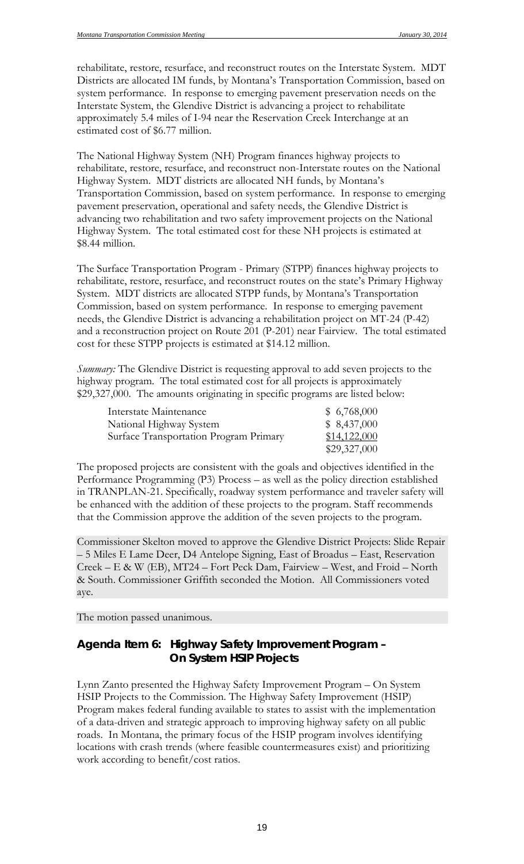rehabilitate, restore, resurface, and reconstruct routes on the Interstate System. MDT Districts are allocated IM funds, by Montana's Transportation Commission, based on system performance. In response to emerging pavement preservation needs on the Interstate System, the Glendive District is advancing a project to rehabilitate approximately 5.4 miles of I-94 near the Reservation Creek Interchange at an estimated cost of \$6.77 million.

The National Highway System (NH) Program finances highway projects to rehabilitate, restore, resurface, and reconstruct non-Interstate routes on the National Highway System. MDT districts are allocated NH funds, by Montana's Transportation Commission, based on system performance. In response to emerging pavement preservation, operational and safety needs, the Glendive District is advancing two rehabilitation and two safety improvement projects on the National Highway System. The total estimated cost for these NH projects is estimated at \$8.44 million.

The Surface Transportation Program - Primary (STPP) finances highway projects to rehabilitate, restore, resurface, and reconstruct routes on the state's Primary Highway System. MDT districts are allocated STPP funds, by Montana's Transportation Commission, based on system performance. In response to emerging pavement needs, the Glendive District is advancing a rehabilitation project on MT-24 (P-42) and a reconstruction project on Route 201 (P-201) near Fairview. The total estimated cost for these STPP projects is estimated at \$14.12 million.

*Summary:* The Glendive District is requesting approval to add seven projects to the highway program. The total estimated cost for all projects is approximately \$29,327,000. The amounts originating in specific programs are listed below:

| Interstate Maintenance                 | \$6,768,000  |
|----------------------------------------|--------------|
| National Highway System                | \$8,437,000  |
| Surface Transportation Program Primary | \$14,122,000 |
|                                        | \$29,327,000 |

The proposed projects are consistent with the goals and objectives identified in the Performance Programming (P3) Process – as well as the policy direction established in TRANPLAN-21. Specifically, roadway system performance and traveler safety will be enhanced with the addition of these projects to the program. Staff recommends that the Commission approve the addition of the seven projects to the program.

Commissioner Skelton moved to approve the Glendive District Projects: Slide Repair – 5 Miles E Lame Deer, D4 Antelope Signing, East of Broadus – East, Reservation Creek – E & W (EB), MT24 – Fort Peck Dam, Fairview – West, and Froid – North & South. Commissioner Griffith seconded the Motion. All Commissioners voted aye.

The motion passed unanimous.

## *Agenda Item 6: Highway Safety Improvement Program – On System HSIP Projects*

Lynn Zanto presented the Highway Safety Improvement Program – On System HSIP Projects to the Commission. The Highway Safety Improvement (HSIP) Program makes federal funding available to states to assist with the implementation of a data-driven and strategic approach to improving highway safety on all public roads. In Montana, the primary focus of the HSIP program involves identifying locations with crash trends (where feasible countermeasures exist) and prioritizing work according to benefit/cost ratios.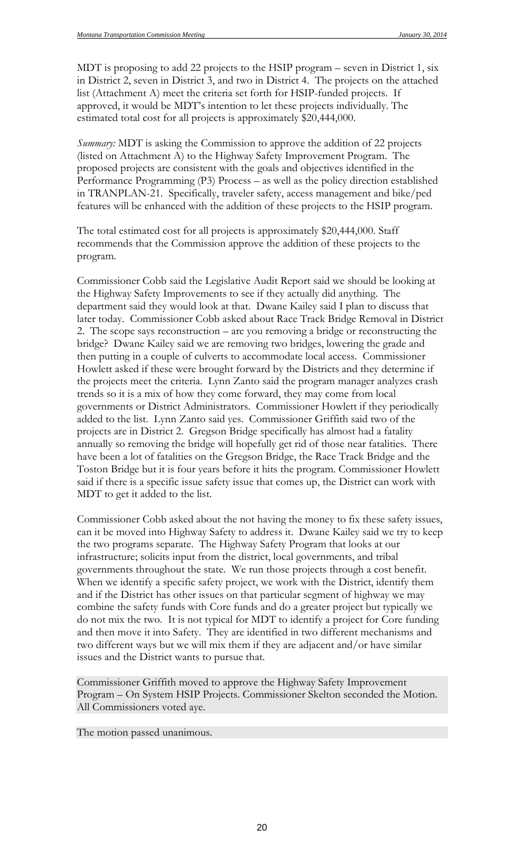MDT is proposing to add 22 projects to the HSIP program – seven in District 1, six in District 2, seven in District 3, and two in District 4. The projects on the attached list (Attachment A) meet the criteria set forth for HSIP-funded projects. If approved, it would be MDT's intention to let these projects individually. The estimated total cost for all projects is approximately \$20,444,000.

*Summary:* MDT is asking the Commission to approve the addition of 22 projects (listed on Attachment A) to the Highway Safety Improvement Program. The proposed projects are consistent with the goals and objectives identified in the Performance Programming (P3) Process – as well as the policy direction established in TRANPLAN-21. Specifically, traveler safety, access management and bike/ped features will be enhanced with the addition of these projects to the HSIP program.

The total estimated cost for all projects is approximately \$20,444,000. Staff recommends that the Commission approve the addition of these projects to the program.

Commissioner Cobb said the Legislative Audit Report said we should be looking at the Highway Safety Improvements to see if they actually did anything. The department said they would look at that. Dwane Kailey said I plan to discuss that later today. Commissioner Cobb asked about Race Track Bridge Removal in District 2. The scope says reconstruction – are you removing a bridge or reconstructing the bridge? Dwane Kailey said we are removing two bridges, lowering the grade and then putting in a couple of culverts to accommodate local access. Commissioner Howlett asked if these were brought forward by the Districts and they determine if the projects meet the criteria. Lynn Zanto said the program manager analyzes crash trends so it is a mix of how they come forward, they may come from local governments or District Administrators. Commissioner Howlett if they periodically added to the list. Lynn Zanto said yes. Commissioner Griffith said two of the projects are in District 2. Gregson Bridge specifically has almost had a fatality annually so removing the bridge will hopefully get rid of those near fatalities. There have been a lot of fatalities on the Gregson Bridge, the Race Track Bridge and the Toston Bridge but it is four years before it hits the program. Commissioner Howlett said if there is a specific issue safety issue that comes up, the District can work with MDT to get it added to the list.

Commissioner Cobb asked about the not having the money to fix these safety issues, can it be moved into Highway Safety to address it. Dwane Kailey said we try to keep the two programs separate. The Highway Safety Program that looks at our infrastructure; solicits input from the district, local governments, and tribal governments throughout the state. We run those projects through a cost benefit. When we identify a specific safety project, we work with the District, identify them and if the District has other issues on that particular segment of highway we may combine the safety funds with Core funds and do a greater project but typically we do not mix the two. It is not typical for MDT to identify a project for Core funding and then move it into Safety. They are identified in two different mechanisms and two different ways but we will mix them if they are adjacent and/or have similar issues and the District wants to pursue that.

Commissioner Griffith moved to approve the Highway Safety Improvement Program – On System HSIP Projects. Commissioner Skelton seconded the Motion. All Commissioners voted aye.

The motion passed unanimous.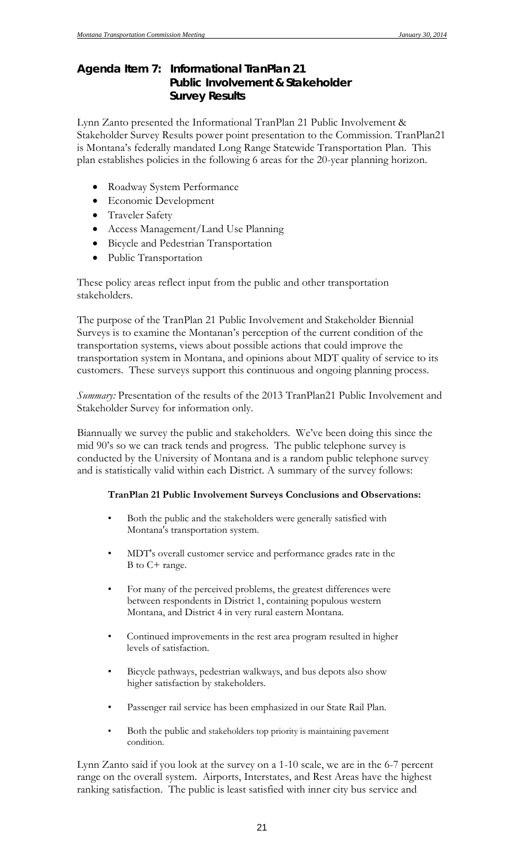## *Agenda Item 7: Informational TranPlan 21 Public Involvement & Stakeholder Survey Results*

Lynn Zanto presented the Informational TranPlan 21 Public Involvement & Stakeholder Survey Results power point presentation to the Commission. TranPlan21 is Montana's federally mandated Long Range Statewide Transportation Plan. This plan establishes policies in the following 6 areas for the 20-year planning horizon.

- Roadway System Performance
- Economic Development
- Traveler Safety
- Access Management/Land Use Planning
- Bicycle and Pedestrian Transportation
- Public Transportation

These policy areas reflect input from the public and other transportation stakeholders.

The purpose of the TranPlan 21 Public Involvement and Stakeholder Biennial Surveys is to examine the Montanan's perception of the current condition of the transportation systems, views about possible actions that could improve the transportation system in Montana, and opinions about MDT quality of service to its customers. These surveys support this continuous and ongoing planning process.

*Summary:* Presentation of the results of the 2013 TranPlan21 Public Involvement and Stakeholder Survey for information only.

Biannually we survey the public and stakeholders. We've been doing this since the mid 90's so we can track tends and progress. The public telephone survey is conducted by the University of Montana and is a random public telephone survey and is statistically valid within each District. A summary of the survey follows:

#### **TranPlan 21 Public Involvement Surveys Conclusions and Observations:**

- Both the public and the stakeholders were generally satisfied with Montana's transportation system.
- MDT's overall customer service and performance grades rate in the B to C+ range.
- For many of the perceived problems, the greatest differences were between respondents in District 1, containing populous western Montana, and District 4 in very rural eastern Montana.
- Continued improvements in the rest area program resulted in higher levels of satisfaction.
- Bicycle pathways, pedestrian walkways, and bus depots also show higher satisfaction by stakeholders.
- Passenger rail service has been emphasized in our State Rail Plan.
- Both the public and stakeholders top priority is maintaining pavement condition.

Lynn Zanto said if you look at the survey on a 1-10 scale, we are in the 6-7 percent range on the overall system. Airports, Interstates, and Rest Areas have the highest ranking satisfaction. The public is least satisfied with inner city bus service and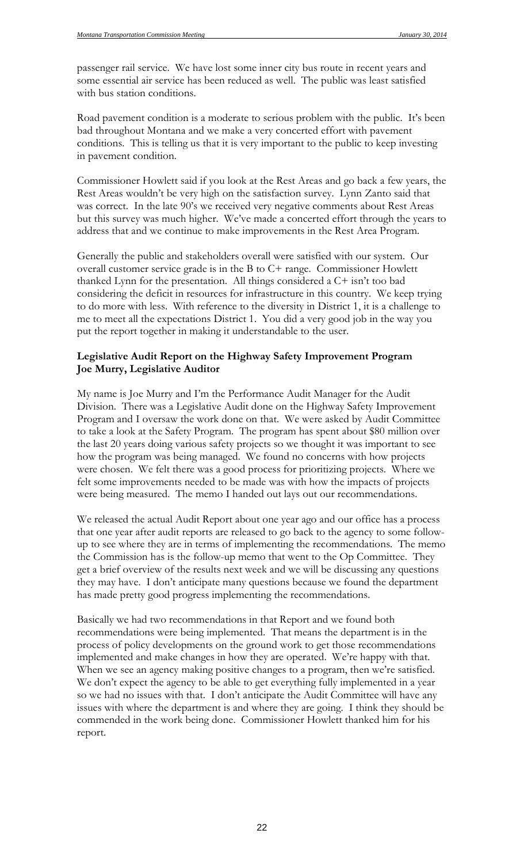passenger rail service. We have lost some inner city bus route in recent years and some essential air service has been reduced as well. The public was least satisfied with bus station conditions.

Road pavement condition is a moderate to serious problem with the public. It's been bad throughout Montana and we make a very concerted effort with pavement conditions. This is telling us that it is very important to the public to keep investing in pavement condition.

Commissioner Howlett said if you look at the Rest Areas and go back a few years, the Rest Areas wouldn't be very high on the satisfaction survey. Lynn Zanto said that was correct. In the late 90's we received very negative comments about Rest Areas but this survey was much higher. We've made a concerted effort through the years to address that and we continue to make improvements in the Rest Area Program.

Generally the public and stakeholders overall were satisfied with our system. Our overall customer service grade is in the B to C+ range. Commissioner Howlett thanked Lynn for the presentation. All things considered a C+ isn't too bad considering the deficit in resources for infrastructure in this country. We keep trying to do more with less. With reference to the diversity in District 1, it is a challenge to me to meet all the expectations District 1. You did a very good job in the way you put the report together in making it understandable to the user.

#### **Legislative Audit Report on the Highway Safety Improvement Program Joe Murry, Legislative Auditor**

My name is Joe Murry and I'm the Performance Audit Manager for the Audit Division. There was a Legislative Audit done on the Highway Safety Improvement Program and I oversaw the work done on that. We were asked by Audit Committee to take a look at the Safety Program. The program has spent about \$80 million over the last 20 years doing various safety projects so we thought it was important to see how the program was being managed. We found no concerns with how projects were chosen. We felt there was a good process for prioritizing projects. Where we felt some improvements needed to be made was with how the impacts of projects were being measured. The memo I handed out lays out our recommendations.

We released the actual Audit Report about one year ago and our office has a process that one year after audit reports are released to go back to the agency to some followup to see where they are in terms of implementing the recommendations. The memo the Commission has is the follow-up memo that went to the Op Committee. They get a brief overview of the results next week and we will be discussing any questions they may have. I don't anticipate many questions because we found the department has made pretty good progress implementing the recommendations.

Basically we had two recommendations in that Report and we found both recommendations were being implemented. That means the department is in the process of policy developments on the ground work to get those recommendations implemented and make changes in how they are operated. We're happy with that. When we see an agency making positive changes to a program, then we're satisfied. We don't expect the agency to be able to get everything fully implemented in a year so we had no issues with that. I don't anticipate the Audit Committee will have any issues with where the department is and where they are going. I think they should be commended in the work being done. Commissioner Howlett thanked him for his report.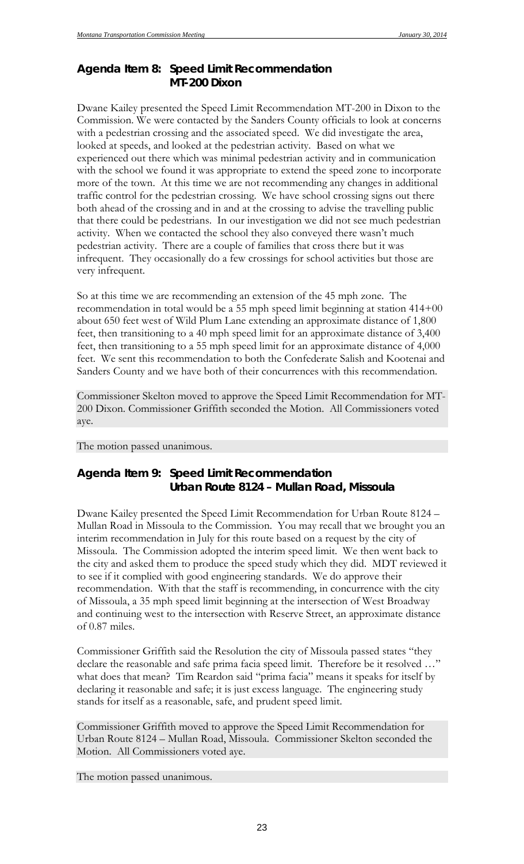## *Agenda Item 8: Speed Limit Recommendation MT-200 Dixon*

Dwane Kailey presented the Speed Limit Recommendation MT-200 in Dixon to the Commission. We were contacted by the Sanders County officials to look at concerns with a pedestrian crossing and the associated speed. We did investigate the area, looked at speeds, and looked at the pedestrian activity. Based on what we experienced out there which was minimal pedestrian activity and in communication with the school we found it was appropriate to extend the speed zone to incorporate more of the town. At this time we are not recommending any changes in additional traffic control for the pedestrian crossing. We have school crossing signs out there both ahead of the crossing and in and at the crossing to advise the travelling public that there could be pedestrians. In our investigation we did not see much pedestrian activity. When we contacted the school they also conveyed there wasn't much pedestrian activity. There are a couple of families that cross there but it was infrequent. They occasionally do a few crossings for school activities but those are very infrequent.

So at this time we are recommending an extension of the 45 mph zone. The recommendation in total would be a 55 mph speed limit beginning at station 414+00 about 650 feet west of Wild Plum Lane extending an approximate distance of 1,800 feet, then transitioning to a 40 mph speed limit for an approximate distance of 3,400 feet, then transitioning to a 55 mph speed limit for an approximate distance of 4,000 feet. We sent this recommendation to both the Confederate Salish and Kootenai and Sanders County and we have both of their concurrences with this recommendation.

Commissioner Skelton moved to approve the Speed Limit Recommendation for MT-200 Dixon. Commissioner Griffith seconded the Motion. All Commissioners voted aye.

The motion passed unanimous.

## *Agenda Item 9: Speed Limit Recommendation Urban Route 8124 – Mullan Road, Missoula*

Dwane Kailey presented the Speed Limit Recommendation for Urban Route 8124 – Mullan Road in Missoula to the Commission. You may recall that we brought you an interim recommendation in July for this route based on a request by the city of Missoula. The Commission adopted the interim speed limit. We then went back to the city and asked them to produce the speed study which they did. MDT reviewed it to see if it complied with good engineering standards. We do approve their recommendation. With that the staff is recommending, in concurrence with the city of Missoula, a 35 mph speed limit beginning at the intersection of West Broadway and continuing west to the intersection with Reserve Street, an approximate distance of 0.87 miles.

Commissioner Griffith said the Resolution the city of Missoula passed states "they declare the reasonable and safe prima facia speed limit. Therefore be it resolved …" what does that mean? Tim Reardon said "prima facia" means it speaks for itself by declaring it reasonable and safe; it is just excess language. The engineering study stands for itself as a reasonable, safe, and prudent speed limit.

Commissioner Griffith moved to approve the Speed Limit Recommendation for Urban Route 8124 – Mullan Road, Missoula. Commissioner Skelton seconded the Motion. All Commissioners voted aye.

The motion passed unanimous.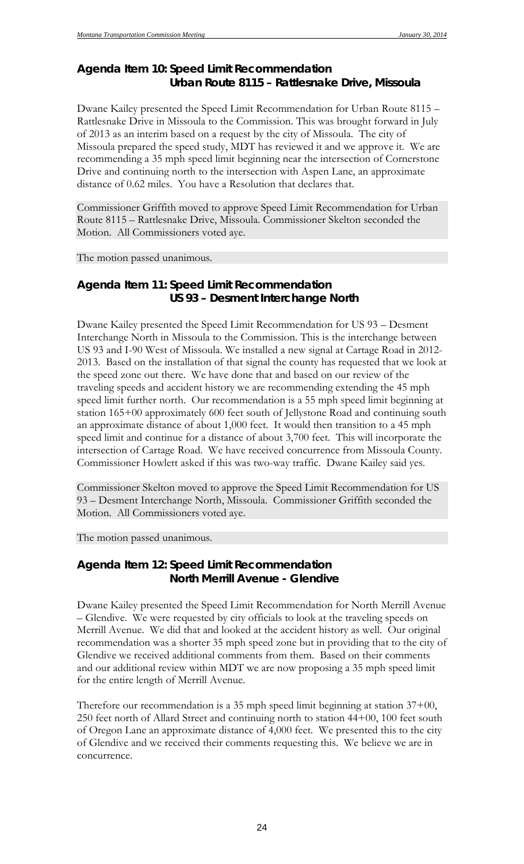## *Agenda Item 10: Speed Limit Recommendation Urban Route 8115 – Rattlesnake Drive, Missoula*

Dwane Kailey presented the Speed Limit Recommendation for Urban Route 8115 – Rattlesnake Drive in Missoula to the Commission. This was brought forward in July of 2013 as an interim based on a request by the city of Missoula. The city of Missoula prepared the speed study, MDT has reviewed it and we approve it. We are recommending a 35 mph speed limit beginning near the intersection of Cornerstone Drive and continuing north to the intersection with Aspen Lane, an approximate distance of 0.62 miles. You have a Resolution that declares that.

Commissioner Griffith moved to approve Speed Limit Recommendation for Urban Route 8115 – Rattlesnake Drive, Missoula. Commissioner Skelton seconded the Motion. All Commissioners voted aye.

The motion passed unanimous.

## *Agenda Item 11: Speed Limit Recommendation US 93 – Desment Interchange North*

Dwane Kailey presented the Speed Limit Recommendation for US 93 – Desment Interchange North in Missoula to the Commission. This is the interchange between US 93 and I-90 West of Missoula. We installed a new signal at Cartage Road in 2012- 2013. Based on the installation of that signal the county has requested that we look at the speed zone out there. We have done that and based on our review of the traveling speeds and accident history we are recommending extending the 45 mph speed limit further north. Our recommendation is a 55 mph speed limit beginning at station 165+00 approximately 600 feet south of Jellystone Road and continuing south an approximate distance of about 1,000 feet. It would then transition to a 45 mph speed limit and continue for a distance of about 3,700 feet. This will incorporate the intersection of Cartage Road. We have received concurrence from Missoula County. Commissioner Howlett asked if this was two-way traffic. Dwane Kailey said yes.

Commissioner Skelton moved to approve the Speed Limit Recommendation for US 93 – Desment Interchange North, Missoula. Commissioner Griffith seconded the Motion. All Commissioners voted aye.

The motion passed unanimous.

## *Agenda Item 12: Speed Limit Recommendation North Merrill Avenue - Glendive*

Dwane Kailey presented the Speed Limit Recommendation for North Merrill Avenue – Glendive. We were requested by city officials to look at the traveling speeds on Merrill Avenue. We did that and looked at the accident history as well. Our original recommendation was a shorter 35 mph speed zone but in providing that to the city of Glendive we received additional comments from them. Based on their comments and our additional review within MDT we are now proposing a 35 mph speed limit for the entire length of Merrill Avenue.

Therefore our recommendation is a 35 mph speed limit beginning at station 37+00, 250 feet north of Allard Street and continuing north to station 44+00, 100 feet south of Oregon Lane an approximate distance of 4,000 feet. We presented this to the city of Glendive and we received their comments requesting this. We believe we are in concurrence.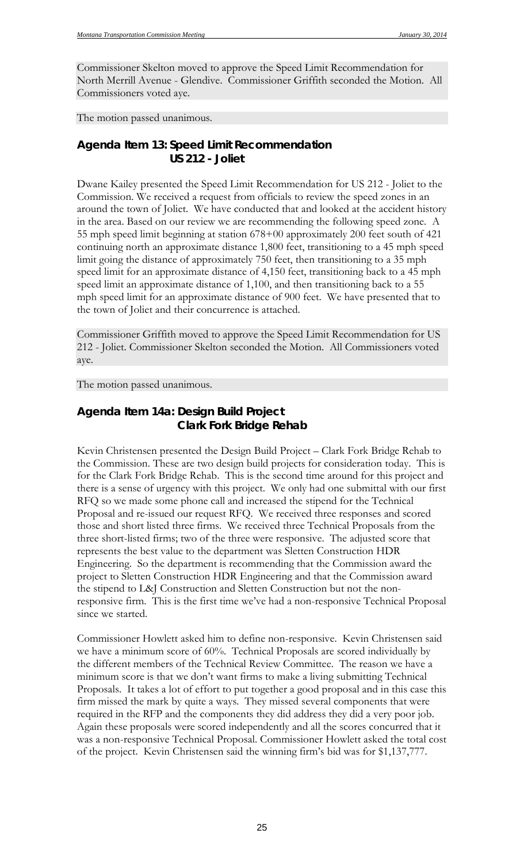Commissioner Skelton moved to approve the Speed Limit Recommendation for North Merrill Avenue - Glendive. Commissioner Griffith seconded the Motion. All Commissioners voted aye.

The motion passed unanimous.

### *Agenda Item 13: Speed Limit Recommendation US 212 - Joliet*

Dwane Kailey presented the Speed Limit Recommendation for US 212 - Joliet to the Commission. We received a request from officials to review the speed zones in an around the town of Joliet. We have conducted that and looked at the accident history in the area. Based on our review we are recommending the following speed zone. A 55 mph speed limit beginning at station 678+00 approximately 200 feet south of 421 continuing north an approximate distance 1,800 feet, transitioning to a 45 mph speed limit going the distance of approximately 750 feet, then transitioning to a 35 mph speed limit for an approximate distance of 4,150 feet, transitioning back to a 45 mph speed limit an approximate distance of 1,100, and then transitioning back to a 55 mph speed limit for an approximate distance of 900 feet. We have presented that to the town of Joliet and their concurrence is attached.

Commissioner Griffith moved to approve the Speed Limit Recommendation for US 212 - Joliet. Commissioner Skelton seconded the Motion. All Commissioners voted aye.

The motion passed unanimous.

## *Agenda Item 14a: Design Build Project Clark Fork Bridge Rehab*

Kevin Christensen presented the Design Build Project – Clark Fork Bridge Rehab to the Commission. These are two design build projects for consideration today. This is for the Clark Fork Bridge Rehab. This is the second time around for this project and there is a sense of urgency with this project. We only had one submittal with our first RFQ so we made some phone call and increased the stipend for the Technical Proposal and re-issued our request RFQ. We received three responses and scored those and short listed three firms. We received three Technical Proposals from the three short-listed firms; two of the three were responsive. The adjusted score that represents the best value to the department was Sletten Construction HDR Engineering. So the department is recommending that the Commission award the project to Sletten Construction HDR Engineering and that the Commission award the stipend to L&J Construction and Sletten Construction but not the nonresponsive firm. This is the first time we've had a non-responsive Technical Proposal since we started.

Commissioner Howlett asked him to define non-responsive. Kevin Christensen said we have a minimum score of 60%. Technical Proposals are scored individually by the different members of the Technical Review Committee. The reason we have a minimum score is that we don't want firms to make a living submitting Technical Proposals. It takes a lot of effort to put together a good proposal and in this case this firm missed the mark by quite a ways. They missed several components that were required in the RFP and the components they did address they did a very poor job. Again these proposals were scored independently and all the scores concurred that it was a non-responsive Technical Proposal. Commissioner Howlett asked the total cost of the project. Kevin Christensen said the winning firm's bid was for \$1,137,777.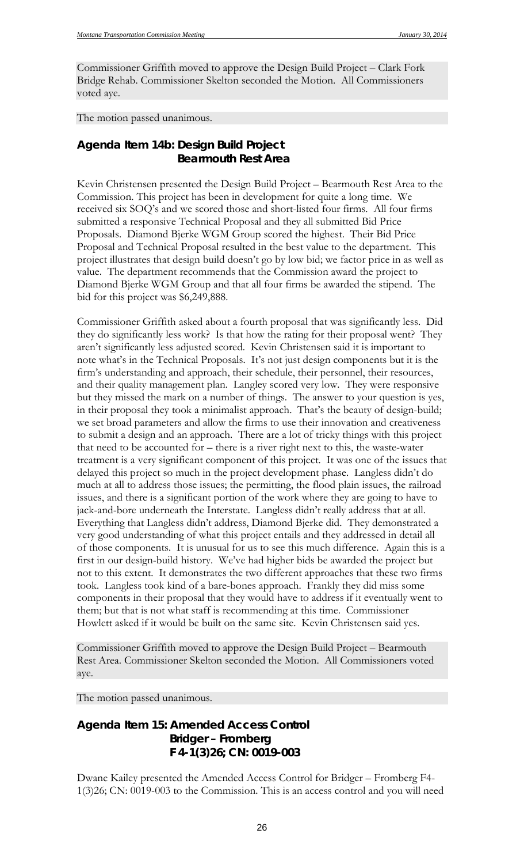Commissioner Griffith moved to approve the Design Build Project – Clark Fork Bridge Rehab. Commissioner Skelton seconded the Motion. All Commissioners voted aye.

The motion passed unanimous.

## *Agenda Item 14b: Design Build Project Bearmouth Rest Area*

Kevin Christensen presented the Design Build Project – Bearmouth Rest Area to the Commission. This project has been in development for quite a long time. We received six SOQ's and we scored those and short-listed four firms. All four firms submitted a responsive Technical Proposal and they all submitted Bid Price Proposals. Diamond Bjerke WGM Group scored the highest. Their Bid Price Proposal and Technical Proposal resulted in the best value to the department. This project illustrates that design build doesn't go by low bid; we factor price in as well as value. The department recommends that the Commission award the project to Diamond Bjerke WGM Group and that all four firms be awarded the stipend. The bid for this project was \$6,249,888.

Commissioner Griffith asked about a fourth proposal that was significantly less. Did they do significantly less work? Is that how the rating for their proposal went? They aren't significantly less adjusted scored. Kevin Christensen said it is important to note what's in the Technical Proposals. It's not just design components but it is the firm's understanding and approach, their schedule, their personnel, their resources, and their quality management plan. Langley scored very low. They were responsive but they missed the mark on a number of things. The answer to your question is yes, in their proposal they took a minimalist approach. That's the beauty of design-build; we set broad parameters and allow the firms to use their innovation and creativeness to submit a design and an approach. There are a lot of tricky things with this project that need to be accounted for – there is a river right next to this, the waste-water treatment is a very significant component of this project. It was one of the issues that delayed this project so much in the project development phase. Langless didn't do much at all to address those issues; the permitting, the flood plain issues, the railroad issues, and there is a significant portion of the work where they are going to have to jack-and-bore underneath the Interstate. Langless didn't really address that at all. Everything that Langless didn't address, Diamond Bjerke did. They demonstrated a very good understanding of what this project entails and they addressed in detail all of those components. It is unusual for us to see this much difference. Again this is a first in our design-build history. We've had higher bids be awarded the project but not to this extent. It demonstrates the two different approaches that these two firms took. Langless took kind of a bare-bones approach. Frankly they did miss some components in their proposal that they would have to address if it eventually went to them; but that is not what staff is recommending at this time. Commissioner Howlett asked if it would be built on the same site. Kevin Christensen said yes.

Commissioner Griffith moved to approve the Design Build Project – Bearmouth Rest Area. Commissioner Skelton seconded the Motion. All Commissioners voted aye.

The motion passed unanimous.

## *Agenda Item 15: Amended Access Control Bridger – Fromberg F 4-1(3)26; CN: 0019-003*

Dwane Kailey presented the Amended Access Control for Bridger – Fromberg F4- 1(3)26; CN: 0019-003 to the Commission. This is an access control and you will need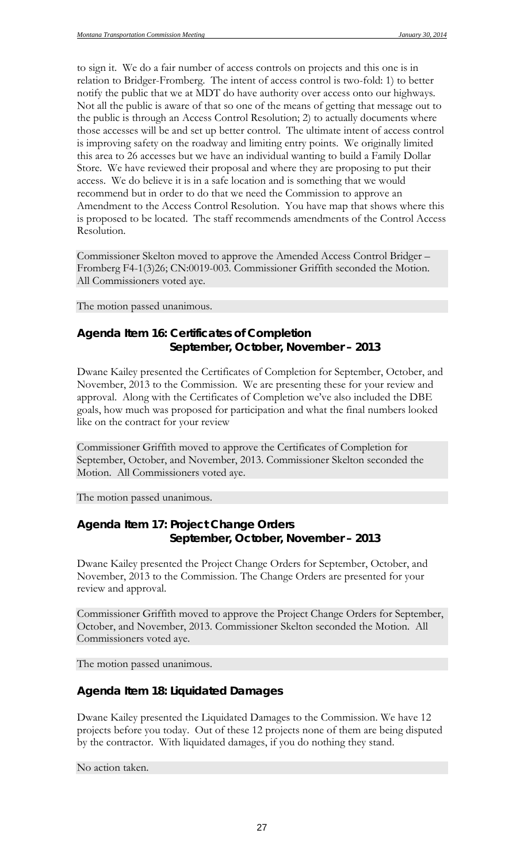to sign it. We do a fair number of access controls on projects and this one is in relation to Bridger-Fromberg. The intent of access control is two-fold: 1) to better notify the public that we at MDT do have authority over access onto our highways. Not all the public is aware of that so one of the means of getting that message out to the public is through an Access Control Resolution; 2) to actually documents where those accesses will be and set up better control. The ultimate intent of access control is improving safety on the roadway and limiting entry points. We originally limited this area to 26 accesses but we have an individual wanting to build a Family Dollar Store. We have reviewed their proposal and where they are proposing to put their access. We do believe it is in a safe location and is something that we would recommend but in order to do that we need the Commission to approve an Amendment to the Access Control Resolution. You have map that shows where this is proposed to be located. The staff recommends amendments of the Control Access Resolution.

Commissioner Skelton moved to approve the Amended Access Control Bridger – Fromberg F4-1(3)26; CN:0019-003. Commissioner Griffith seconded the Motion. All Commissioners voted aye.

The motion passed unanimous.

### *Agenda Item 16: Certificates of Completion September, October, November – 2013*

Dwane Kailey presented the Certificates of Completion for September, October, and November, 2013 to the Commission. We are presenting these for your review and approval. Along with the Certificates of Completion we've also included the DBE goals, how much was proposed for participation and what the final numbers looked like on the contract for your review

Commissioner Griffith moved to approve the Certificates of Completion for September, October, and November, 2013. Commissioner Skelton seconded the Motion. All Commissioners voted aye.

The motion passed unanimous.

## *Agenda Item 17: Project Change Orders September, October, November – 2013*

Dwane Kailey presented the Project Change Orders for September, October, and November, 2013 to the Commission. The Change Orders are presented for your review and approval.

Commissioner Griffith moved to approve the Project Change Orders for September, October, and November, 2013. Commissioner Skelton seconded the Motion. All Commissioners voted aye.

The motion passed unanimous.

#### *Agenda Item 18: Liquidated Damages*

Dwane Kailey presented the Liquidated Damages to the Commission. We have 12 projects before you today. Out of these 12 projects none of them are being disputed by the contractor. With liquidated damages, if you do nothing they stand.

No action taken.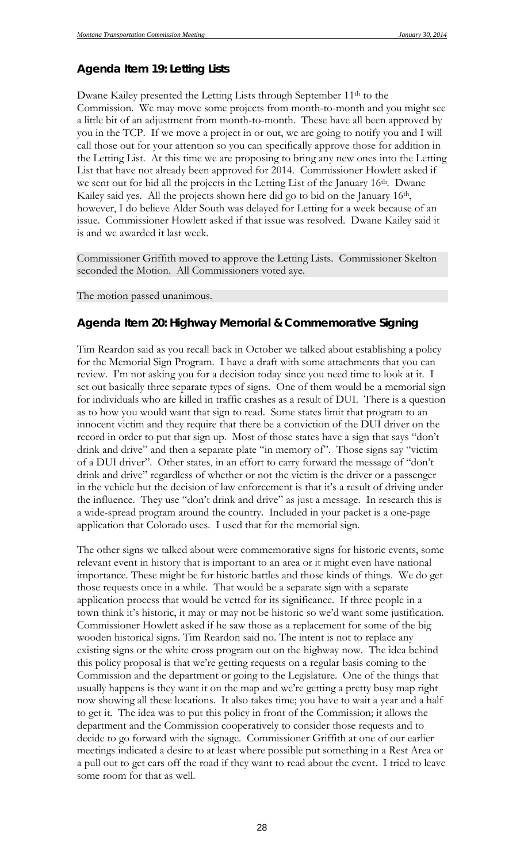## *Agenda Item 19: Letting Lists*

Dwane Kailey presented the Letting Lists through September 11th to the Commission. We may move some projects from month-to-month and you might see a little bit of an adjustment from month-to-month. These have all been approved by you in the TCP. If we move a project in or out, we are going to notify you and I will call those out for your attention so you can specifically approve those for addition in the Letting List. At this time we are proposing to bring any new ones into the Letting List that have not already been approved for 2014. Commissioner Howlett asked if we sent out for bid all the projects in the Letting List of the January 16<sup>th</sup>. Dwane Kailey said yes. All the projects shown here did go to bid on the January 16<sup>th</sup>, however, I do believe Alder South was delayed for Letting for a week because of an issue. Commissioner Howlett asked if that issue was resolved. Dwane Kailey said it is and we awarded it last week.

Commissioner Griffith moved to approve the Letting Lists. Commissioner Skelton seconded the Motion. All Commissioners voted aye.

The motion passed unanimous.

#### *Agenda Item 20: Highway Memorial & Commemorative Signing*

Tim Reardon said as you recall back in October we talked about establishing a policy for the Memorial Sign Program. I have a draft with some attachments that you can review. I'm not asking you for a decision today since you need time to look at it. I set out basically three separate types of signs. One of them would be a memorial sign for individuals who are killed in traffic crashes as a result of DUI. There is a question as to how you would want that sign to read. Some states limit that program to an innocent victim and they require that there be a conviction of the DUI driver on the record in order to put that sign up. Most of those states have a sign that says "don't drink and drive" and then a separate plate "in memory of". Those signs say "victim of a DUI driver". Other states, in an effort to carry forward the message of "don't drink and drive" regardless of whether or not the victim is the driver or a passenger in the vehicle but the decision of law enforcement is that it's a result of driving under the influence. They use "don't drink and drive" as just a message. In research this is a wide-spread program around the country. Included in your packet is a one-page application that Colorado uses. I used that for the memorial sign.

The other signs we talked about were commemorative signs for historic events, some relevant event in history that is important to an area or it might even have national importance. These might be for historic battles and those kinds of things. We do get those requests once in a while. That would be a separate sign with a separate application process that would be vetted for its significance. If three people in a town think it's historic, it may or may not be historic so we'd want some justification. Commissioner Howlett asked if he saw those as a replacement for some of the big wooden historical signs. Tim Reardon said no. The intent is not to replace any existing signs or the white cross program out on the highway now. The idea behind this policy proposal is that we're getting requests on a regular basis coming to the Commission and the department or going to the Legislature. One of the things that usually happens is they want it on the map and we're getting a pretty busy map right now showing all these locations. It also takes time; you have to wait a year and a half to get it. The idea was to put this policy in front of the Commission; it allows the department and the Commission cooperatively to consider those requests and to decide to go forward with the signage. Commissioner Griffith at one of our earlier meetings indicated a desire to at least where possible put something in a Rest Area or a pull out to get cars off the road if they want to read about the event. I tried to leave some room for that as well.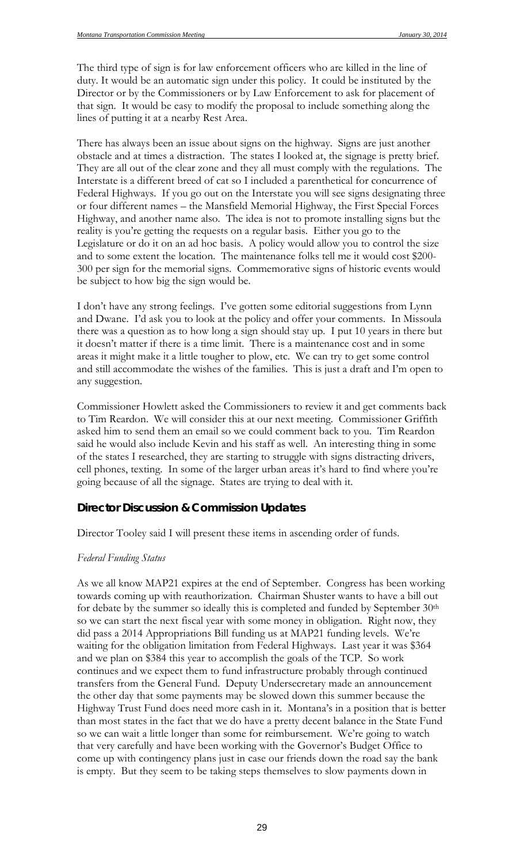The third type of sign is for law enforcement officers who are killed in the line of duty. It would be an automatic sign under this policy. It could be instituted by the Director or by the Commissioners or by Law Enforcement to ask for placement of that sign. It would be easy to modify the proposal to include something along the lines of putting it at a nearby Rest Area.

There has always been an issue about signs on the highway. Signs are just another obstacle and at times a distraction. The states I looked at, the signage is pretty brief. They are all out of the clear zone and they all must comply with the regulations. The Interstate is a different breed of cat so I included a parenthetical for concurrence of Federal Highways. If you go out on the Interstate you will see signs designating three or four different names – the Mansfield Memorial Highway, the First Special Forces Highway, and another name also. The idea is not to promote installing signs but the reality is you're getting the requests on a regular basis. Either you go to the Legislature or do it on an ad hoc basis. A policy would allow you to control the size and to some extent the location. The maintenance folks tell me it would cost \$200- 300 per sign for the memorial signs. Commemorative signs of historic events would be subject to how big the sign would be.

I don't have any strong feelings. I've gotten some editorial suggestions from Lynn and Dwane. I'd ask you to look at the policy and offer your comments. In Missoula there was a question as to how long a sign should stay up. I put 10 years in there but it doesn't matter if there is a time limit. There is a maintenance cost and in some areas it might make it a little tougher to plow, etc. We can try to get some control and still accommodate the wishes of the families. This is just a draft and I'm open to any suggestion.

Commissioner Howlett asked the Commissioners to review it and get comments back to Tim Reardon. We will consider this at our next meeting. Commissioner Griffith asked him to send them an email so we could comment back to you. Tim Reardon said he would also include Kevin and his staff as well. An interesting thing in some of the states I researched, they are starting to struggle with signs distracting drivers, cell phones, texting. In some of the larger urban areas it's hard to find where you're going because of all the signage. States are trying to deal with it.

#### **Director Discussion & Commission Updates**

Director Tooley said I will present these items in ascending order of funds.

#### *Federal Funding Status*

As we all know MAP21 expires at the end of September. Congress has been working towards coming up with reauthorization. Chairman Shuster wants to have a bill out for debate by the summer so ideally this is completed and funded by September 30<sup>th</sup> so we can start the next fiscal year with some money in obligation. Right now, they did pass a 2014 Appropriations Bill funding us at MAP21 funding levels. We're waiting for the obligation limitation from Federal Highways. Last year it was \$364 and we plan on \$384 this year to accomplish the goals of the TCP. So work continues and we expect them to fund infrastructure probably through continued transfers from the General Fund. Deputy Undersecretary made an announcement the other day that some payments may be slowed down this summer because the Highway Trust Fund does need more cash in it. Montana's in a position that is better than most states in the fact that we do have a pretty decent balance in the State Fund so we can wait a little longer than some for reimbursement. We're going to watch that very carefully and have been working with the Governor's Budget Office to come up with contingency plans just in case our friends down the road say the bank is empty. But they seem to be taking steps themselves to slow payments down in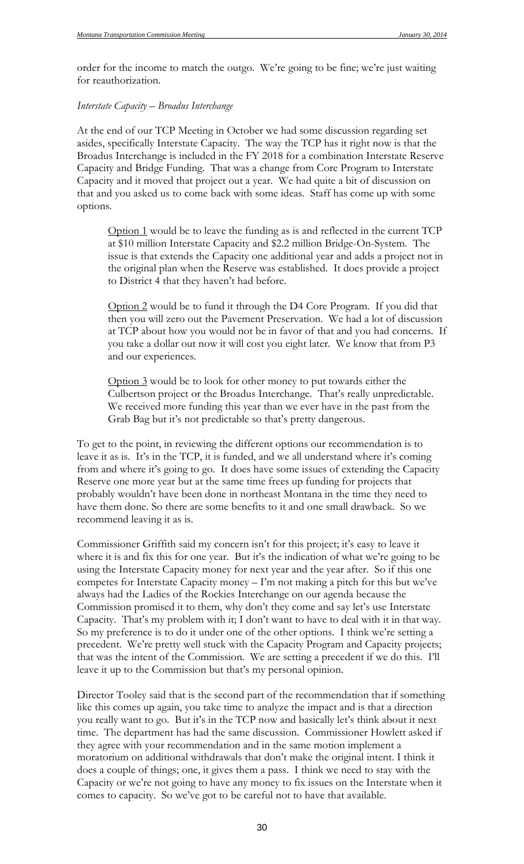order for the income to match the outgo. We're going to be fine; we're just waiting for reauthorization.

#### *Interstate Capacity – Broadus Interchange*

At the end of our TCP Meeting in October we had some discussion regarding set asides, specifically Interstate Capacity. The way the TCP has it right now is that the Broadus Interchange is included in the FY 2018 for a combination Interstate Reserve Capacity and Bridge Funding. That was a change from Core Program to Interstate Capacity and it moved that project out a year. We had quite a bit of discussion on that and you asked us to come back with some ideas. Staff has come up with some options.

Option 1 would be to leave the funding as is and reflected in the current TCP at \$10 million Interstate Capacity and \$2.2 million Bridge-On-System. The issue is that extends the Capacity one additional year and adds a project not in the original plan when the Reserve was established. It does provide a project to District 4 that they haven't had before.

Option 2 would be to fund it through the D4 Core Program. If you did that then you will zero out the Pavement Preservation. We had a lot of discussion at TCP about how you would not be in favor of that and you had concerns. If you take a dollar out now it will cost you eight later. We know that from P3 and our experiences.

Option 3 would be to look for other money to put towards either the Culbertson project or the Broadus Interchange. That's really unpredictable. We received more funding this year than we ever have in the past from the Grab Bag but it's not predictable so that's pretty dangerous.

To get to the point, in reviewing the different options our recommendation is to leave it as is. It's in the TCP, it is funded, and we all understand where it's coming from and where it's going to go. It does have some issues of extending the Capacity Reserve one more year but at the same time frees up funding for projects that probably wouldn't have been done in northeast Montana in the time they need to have them done. So there are some benefits to it and one small drawback. So we recommend leaving it as is.

Commissioner Griffith said my concern isn't for this project; it's easy to leave it where it is and fix this for one year. But it's the indication of what we're going to be using the Interstate Capacity money for next year and the year after. So if this one competes for Interstate Capacity money – I'm not making a pitch for this but we've always had the Ladies of the Rockies Interchange on our agenda because the Commission promised it to them, why don't they come and say let's use Interstate Capacity. That's my problem with it; I don't want to have to deal with it in that way. So my preference is to do it under one of the other options. I think we're setting a precedent. We're pretty well stuck with the Capacity Program and Capacity projects; that was the intent of the Commission. We are setting a precedent if we do this. I'll leave it up to the Commission but that's my personal opinion.

Director Tooley said that is the second part of the recommendation that if something like this comes up again, you take time to analyze the impact and is that a direction you really want to go. But it's in the TCP now and basically let's think about it next time. The department has had the same discussion. Commissioner Howlett asked if they agree with your recommendation and in the same motion implement a moratorium on additional withdrawals that don't make the original intent. I think it does a couple of things; one, it gives them a pass. I think we need to stay with the Capacity or we're not going to have any money to fix issues on the Interstate when it comes to capacity. So we've got to be careful not to have that available.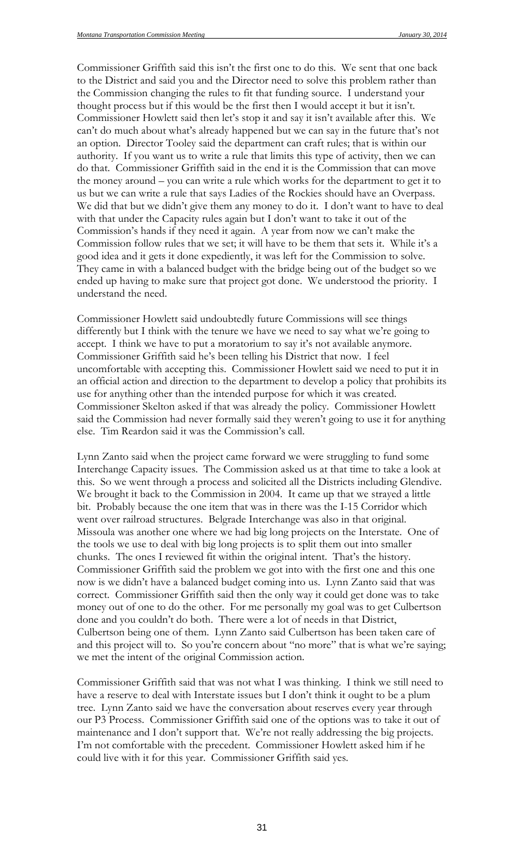Commissioner Griffith said this isn't the first one to do this. We sent that one back to the District and said you and the Director need to solve this problem rather than the Commission changing the rules to fit that funding source. I understand your thought process but if this would be the first then I would accept it but it isn't. Commissioner Howlett said then let's stop it and say it isn't available after this. We can't do much about what's already happened but we can say in the future that's not an option. Director Tooley said the department can craft rules; that is within our authority. If you want us to write a rule that limits this type of activity, then we can do that. Commissioner Griffith said in the end it is the Commission that can move the money around – you can write a rule which works for the department to get it to us but we can write a rule that says Ladies of the Rockies should have an Overpass. We did that but we didn't give them any money to do it. I don't want to have to deal with that under the Capacity rules again but I don't want to take it out of the Commission's hands if they need it again. A year from now we can't make the Commission follow rules that we set; it will have to be them that sets it. While it's a good idea and it gets it done expediently, it was left for the Commission to solve. They came in with a balanced budget with the bridge being out of the budget so we ended up having to make sure that project got done. We understood the priority. I understand the need.

Commissioner Howlett said undoubtedly future Commissions will see things differently but I think with the tenure we have we need to say what we're going to accept. I think we have to put a moratorium to say it's not available anymore. Commissioner Griffith said he's been telling his District that now. I feel uncomfortable with accepting this. Commissioner Howlett said we need to put it in an official action and direction to the department to develop a policy that prohibits its use for anything other than the intended purpose for which it was created. Commissioner Skelton asked if that was already the policy. Commissioner Howlett said the Commission had never formally said they weren't going to use it for anything else. Tim Reardon said it was the Commission's call.

Lynn Zanto said when the project came forward we were struggling to fund some Interchange Capacity issues. The Commission asked us at that time to take a look at this. So we went through a process and solicited all the Districts including Glendive. We brought it back to the Commission in 2004. It came up that we strayed a little bit. Probably because the one item that was in there was the I-15 Corridor which went over railroad structures. Belgrade Interchange was also in that original. Missoula was another one where we had big long projects on the Interstate. One of the tools we use to deal with big long projects is to split them out into smaller chunks. The ones I reviewed fit within the original intent. That's the history. Commissioner Griffith said the problem we got into with the first one and this one now is we didn't have a balanced budget coming into us. Lynn Zanto said that was correct. Commissioner Griffith said then the only way it could get done was to take money out of one to do the other. For me personally my goal was to get Culbertson done and you couldn't do both. There were a lot of needs in that District, Culbertson being one of them. Lynn Zanto said Culbertson has been taken care of and this project will to. So you're concern about "no more" that is what we're saying; we met the intent of the original Commission action.

Commissioner Griffith said that was not what I was thinking. I think we still need to have a reserve to deal with Interstate issues but I don't think it ought to be a plum tree. Lynn Zanto said we have the conversation about reserves every year through our P3 Process. Commissioner Griffith said one of the options was to take it out of maintenance and I don't support that. We're not really addressing the big projects. I'm not comfortable with the precedent. Commissioner Howlett asked him if he could live with it for this year. Commissioner Griffith said yes.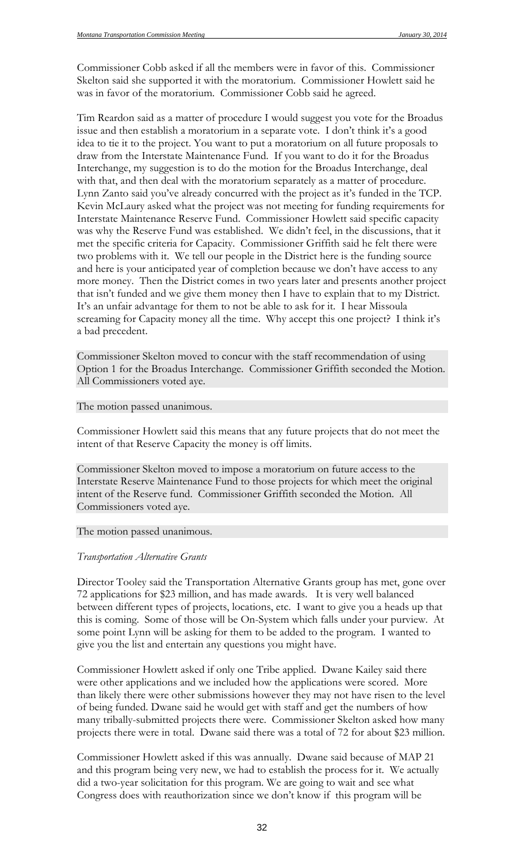Commissioner Cobb asked if all the members were in favor of this. Commissioner Skelton said she supported it with the moratorium. Commissioner Howlett said he was in favor of the moratorium. Commissioner Cobb said he agreed.

Tim Reardon said as a matter of procedure I would suggest you vote for the Broadus issue and then establish a moratorium in a separate vote. I don't think it's a good idea to tie it to the project. You want to put a moratorium on all future proposals to draw from the Interstate Maintenance Fund. If you want to do it for the Broadus Interchange, my suggestion is to do the motion for the Broadus Interchange, deal with that, and then deal with the moratorium separately as a matter of procedure. Lynn Zanto said you've already concurred with the project as it's funded in the TCP. Kevin McLaury asked what the project was not meeting for funding requirements for Interstate Maintenance Reserve Fund. Commissioner Howlett said specific capacity was why the Reserve Fund was established. We didn't feel, in the discussions, that it met the specific criteria for Capacity. Commissioner Griffith said he felt there were two problems with it. We tell our people in the District here is the funding source and here is your anticipated year of completion because we don't have access to any more money. Then the District comes in two years later and presents another project that isn't funded and we give them money then I have to explain that to my District. It's an unfair advantage for them to not be able to ask for it. I hear Missoula screaming for Capacity money all the time. Why accept this one project? I think it's a bad precedent.

Commissioner Skelton moved to concur with the staff recommendation of using Option 1 for the Broadus Interchange. Commissioner Griffith seconded the Motion. All Commissioners voted aye.

The motion passed unanimous.

Commissioner Howlett said this means that any future projects that do not meet the intent of that Reserve Capacity the money is off limits.

Commissioner Skelton moved to impose a moratorium on future access to the Interstate Reserve Maintenance Fund to those projects for which meet the original intent of the Reserve fund. Commissioner Griffith seconded the Motion. All Commissioners voted aye.

#### The motion passed unanimous.

#### *Transportation Alternative Grants*

Director Tooley said the Transportation Alternative Grants group has met, gone over 72 applications for \$23 million, and has made awards. It is very well balanced between different types of projects, locations, etc. I want to give you a heads up that this is coming. Some of those will be On-System which falls under your purview. At some point Lynn will be asking for them to be added to the program. I wanted to give you the list and entertain any questions you might have.

Commissioner Howlett asked if only one Tribe applied. Dwane Kailey said there were other applications and we included how the applications were scored. More than likely there were other submissions however they may not have risen to the level of being funded. Dwane said he would get with staff and get the numbers of how many tribally-submitted projects there were. Commissioner Skelton asked how many projects there were in total. Dwane said there was a total of 72 for about \$23 million.

Commissioner Howlett asked if this was annually. Dwane said because of MAP 21 and this program being very new, we had to establish the process for it. We actually did a two-year solicitation for this program. We are going to wait and see what Congress does with reauthorization since we don't know if this program will be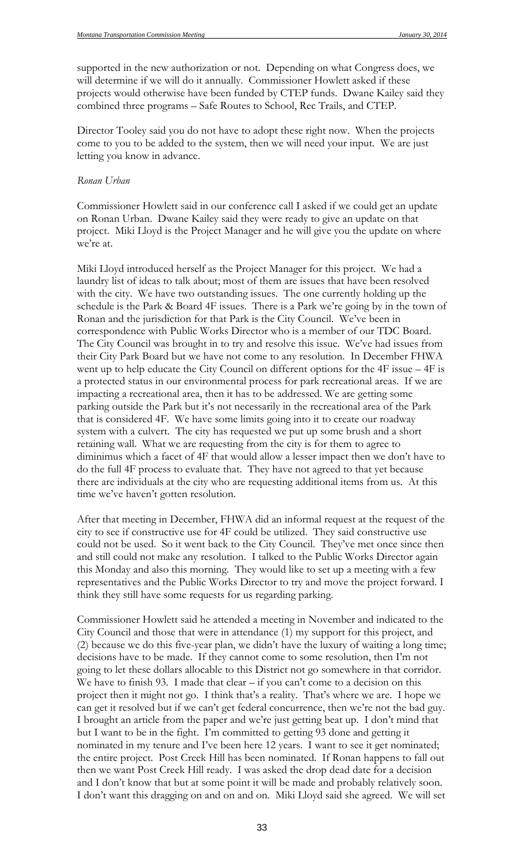supported in the new authorization or not. Depending on what Congress does, we will determine if we will do it annually. Commissioner Howlett asked if these projects would otherwise have been funded by CTEP funds. Dwane Kailey said they combined three programs – Safe Routes to School, Rec Trails, and CTEP.

Director Tooley said you do not have to adopt these right now. When the projects come to you to be added to the system, then we will need your input. We are just letting you know in advance.

#### *Ronan Urban*

Commissioner Howlett said in our conference call I asked if we could get an update on Ronan Urban. Dwane Kailey said they were ready to give an update on that project. Miki Lloyd is the Project Manager and he will give you the update on where we're at.

Miki Lloyd introduced herself as the Project Manager for this project. We had a laundry list of ideas to talk about; most of them are issues that have been resolved with the city. We have two outstanding issues. The one currently holding up the schedule is the Park & Board 4F issues. There is a Park we're going by in the town of Ronan and the jurisdiction for that Park is the City Council. We've been in correspondence with Public Works Director who is a member of our TDC Board. The City Council was brought in to try and resolve this issue. We've had issues from their City Park Board but we have not come to any resolution. In December FHWA went up to help educate the City Council on different options for the 4F issue – 4F is a protected status in our environmental process for park recreational areas. If we are impacting a recreational area, then it has to be addressed. We are getting some parking outside the Park but it's not necessarily in the recreational area of the Park that is considered 4F. We have some limits going into it to create our roadway system with a culvert. The city has requested we put up some brush and a short retaining wall. What we are requesting from the city is for them to agree to diminimus which a facet of 4F that would allow a lesser impact then we don't have to do the full 4F process to evaluate that. They have not agreed to that yet because there are individuals at the city who are requesting additional items from us. At this time we've haven't gotten resolution.

After that meeting in December, FHWA did an informal request at the request of the city to see if constructive use for 4F could be utilized. They said constructive use could not be used. So it went back to the City Council. They've met once since then and still could not make any resolution. I talked to the Public Works Director again this Monday and also this morning. They would like to set up a meeting with a few representatives and the Public Works Director to try and move the project forward. I think they still have some requests for us regarding parking.

Commissioner Howlett said he attended a meeting in November and indicated to the City Council and those that were in attendance (1) my support for this project, and (2) because we do this five-year plan, we didn't have the luxury of waiting a long time; decisions have to be made. If they cannot come to some resolution, then I'm not going to let these dollars allocable to this District not go somewhere in that corridor. We have to finish 93. I made that clear – if you can't come to a decision on this project then it might not go. I think that's a reality. That's where we are. I hope we can get it resolved but if we can't get federal concurrence, then we're not the bad guy. I brought an article from the paper and we're just getting beat up. I don't mind that but I want to be in the fight. I'm committed to getting 93 done and getting it nominated in my tenure and I've been here 12 years. I want to see it get nominated; the entire project. Post Creek Hill has been nominated. If Ronan happens to fall out then we want Post Creek Hill ready. I was asked the drop dead date for a decision and I don't know that but at some point it will be made and probably relatively soon. I don't want this dragging on and on and on. Miki Lloyd said she agreed. We will set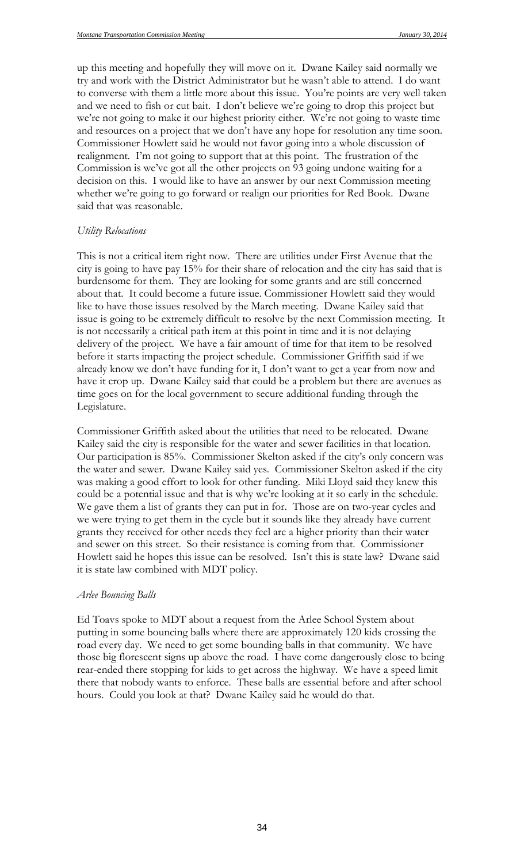up this meeting and hopefully they will move on it. Dwane Kailey said normally we try and work with the District Administrator but he wasn't able to attend. I do want to converse with them a little more about this issue. You're points are very well taken and we need to fish or cut bait. I don't believe we're going to drop this project but we're not going to make it our highest priority either. We're not going to waste time and resources on a project that we don't have any hope for resolution any time soon. Commissioner Howlett said he would not favor going into a whole discussion of realignment. I'm not going to support that at this point. The frustration of the Commission is we've got all the other projects on 93 going undone waiting for a decision on this. I would like to have an answer by our next Commission meeting whether we're going to go forward or realign our priorities for Red Book. Dwane said that was reasonable.

#### *Utility Relocations*

This is not a critical item right now. There are utilities under First Avenue that the city is going to have pay 15% for their share of relocation and the city has said that is burdensome for them. They are looking for some grants and are still concerned about that. It could become a future issue. Commissioner Howlett said they would like to have those issues resolved by the March meeting. Dwane Kailey said that issue is going to be extremely difficult to resolve by the next Commission meeting. It is not necessarily a critical path item at this point in time and it is not delaying delivery of the project. We have a fair amount of time for that item to be resolved before it starts impacting the project schedule. Commissioner Griffith said if we already know we don't have funding for it, I don't want to get a year from now and have it crop up. Dwane Kailey said that could be a problem but there are avenues as time goes on for the local government to secure additional funding through the Legislature.

Commissioner Griffith asked about the utilities that need to be relocated. Dwane Kailey said the city is responsible for the water and sewer facilities in that location. Our participation is 85%. Commissioner Skelton asked if the city's only concern was the water and sewer. Dwane Kailey said yes. Commissioner Skelton asked if the city was making a good effort to look for other funding. Miki Lloyd said they knew this could be a potential issue and that is why we're looking at it so early in the schedule. We gave them a list of grants they can put in for. Those are on two-year cycles and we were trying to get them in the cycle but it sounds like they already have current grants they received for other needs they feel are a higher priority than their water and sewer on this street. So their resistance is coming from that. Commissioner Howlett said he hopes this issue can be resolved. Isn't this is state law? Dwane said it is state law combined with MDT policy.

#### *Arlee Bouncing Balls*

Ed Toavs spoke to MDT about a request from the Arlee School System about putting in some bouncing balls where there are approximately 120 kids crossing the road every day. We need to get some bounding balls in that community. We have those big florescent signs up above the road. I have come dangerously close to being rear-ended there stopping for kids to get across the highway. We have a speed limit there that nobody wants to enforce. These balls are essential before and after school hours. Could you look at that? Dwane Kailey said he would do that.